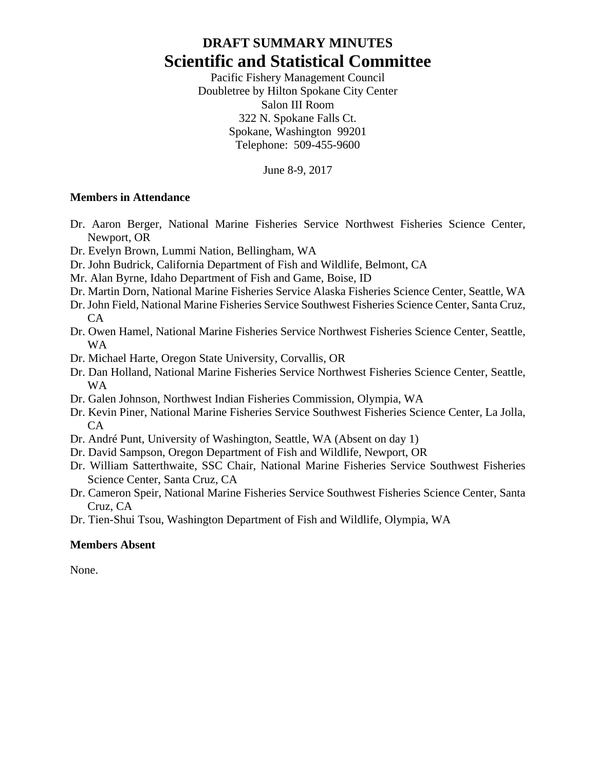# **DRAFT SUMMARY MINUTES Scientific and Statistical Committee**

Pacific Fishery Management Council Doubletree by Hilton Spokane City Center Salon III Room 322 N. Spokane Falls Ct. Spokane, Washington 99201 Telephone: 509-455-9600

June 8-9, 2017

#### **Members in Attendance**

- Dr. Aaron Berger, National Marine Fisheries Service Northwest Fisheries Science Center, Newport, OR
- Dr. Evelyn Brown, Lummi Nation, Bellingham, WA
- Dr. John Budrick, California Department of Fish and Wildlife, Belmont, CA
- Mr. Alan Byrne, Idaho Department of Fish and Game, Boise, ID
- Dr. Martin Dorn, National Marine Fisheries Service Alaska Fisheries Science Center, Seattle, WA
- Dr. John Field, National Marine Fisheries Service Southwest Fisheries Science Center, Santa Cruz,  $CA$
- Dr. Owen Hamel, National Marine Fisheries Service Northwest Fisheries Science Center, Seattle, WA
- Dr. Michael Harte, Oregon State University, Corvallis, OR
- Dr. Dan Holland, National Marine Fisheries Service Northwest Fisheries Science Center, Seattle, WA
- Dr. Galen Johnson, Northwest Indian Fisheries Commission, Olympia, WA
- Dr. Kevin Piner, National Marine Fisheries Service Southwest Fisheries Science Center, La Jolla, CA
- Dr. André Punt, University of Washington, Seattle, WA (Absent on day 1)
- Dr. David Sampson, Oregon Department of Fish and Wildlife, Newport, OR
- Dr. William Satterthwaite, SSC Chair, National Marine Fisheries Service Southwest Fisheries Science Center, Santa Cruz, CA
- Dr. Cameron Speir, National Marine Fisheries Service Southwest Fisheries Science Center, Santa Cruz, CA
- Dr. Tien-Shui Tsou, Washington Department of Fish and Wildlife, Olympia, WA

#### **Members Absent**

None.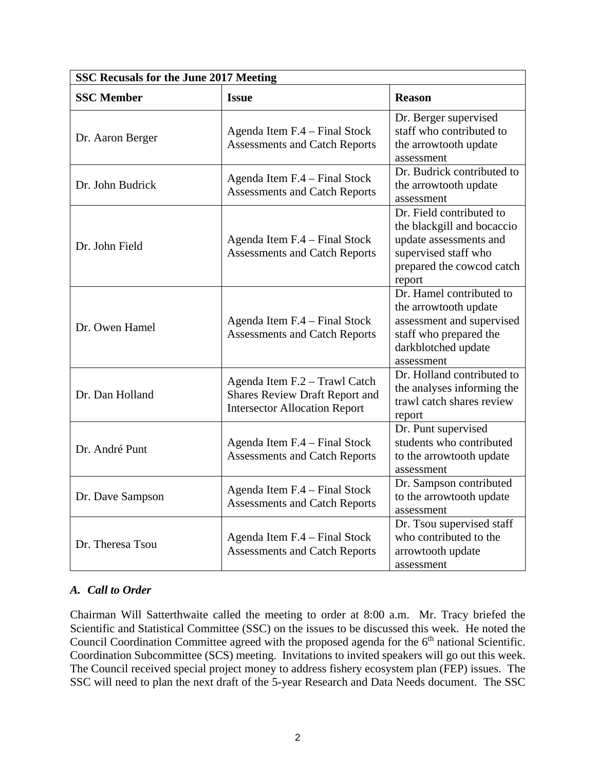| SSC Recusals for the June 2017 Meeting |                                                                                                                |                                                                                                                                                 |  |  |  |  |
|----------------------------------------|----------------------------------------------------------------------------------------------------------------|-------------------------------------------------------------------------------------------------------------------------------------------------|--|--|--|--|
| <b>SSC Member</b>                      | <b>Issue</b>                                                                                                   | <b>Reason</b>                                                                                                                                   |  |  |  |  |
| Dr. Aaron Berger                       | Agenda Item F.4 – Final Stock<br><b>Assessments and Catch Reports</b>                                          | Dr. Berger supervised<br>staff who contributed to<br>the arrowtooth update<br>assessment                                                        |  |  |  |  |
| Dr. John Budrick                       | Agenda Item F.4 – Final Stock<br><b>Assessments and Catch Reports</b>                                          | Dr. Budrick contributed to<br>the arrowtooth update<br>assessment                                                                               |  |  |  |  |
| Dr. John Field                         | Agenda Item F.4 - Final Stock<br><b>Assessments and Catch Reports</b>                                          | Dr. Field contributed to<br>the blackgill and bocaccio<br>update assessments and<br>supervised staff who<br>prepared the cowcod catch<br>report |  |  |  |  |
| Dr. Owen Hamel                         | Agenda Item F.4 - Final Stock<br><b>Assessments and Catch Reports</b>                                          | Dr. Hamel contributed to<br>the arrowtooth update<br>assessment and supervised<br>staff who prepared the<br>darkblotched update<br>assessment   |  |  |  |  |
| Dr. Dan Holland                        | Agenda Item F.2 - Trawl Catch<br><b>Shares Review Draft Report and</b><br><b>Intersector Allocation Report</b> | Dr. Holland contributed to<br>the analyses informing the<br>trawl catch shares review<br>report                                                 |  |  |  |  |
| Dr. André Punt                         | Agenda Item F.4 - Final Stock<br><b>Assessments and Catch Reports</b>                                          | Dr. Punt supervised<br>students who contributed<br>to the arrowtooth update<br>assessment                                                       |  |  |  |  |
| Dr. Dave Sampson                       | Agenda Item F.4 – Final Stock<br><b>Assessments and Catch Reports</b>                                          | Dr. Sampson contributed<br>to the arrowtooth update<br>assessment                                                                               |  |  |  |  |
| Dr. Theresa Tsou                       | Agenda Item F.4 - Final Stock<br><b>Assessments and Catch Reports</b>                                          | Dr. Tsou supervised staff<br>who contributed to the<br>arrowtooth update<br>assessment                                                          |  |  |  |  |

## *A. Call to Order*

Chairman Will Satterthwaite called the meeting to order at 8:00 a.m. Mr. Tracy briefed the Scientific and Statistical Committee (SSC) on the issues to be discussed this week. He noted the Council Coordination Committee agreed with the proposed agenda for the 6<sup>th</sup> national Scientific. Coordination Subcommittee (SCS) meeting. Invitations to invited speakers will go out this week. The Council received special project money to address fishery ecosystem plan (FEP) issues. The SSC will need to plan the next draft of the 5-year Research and Data Needs document. The SSC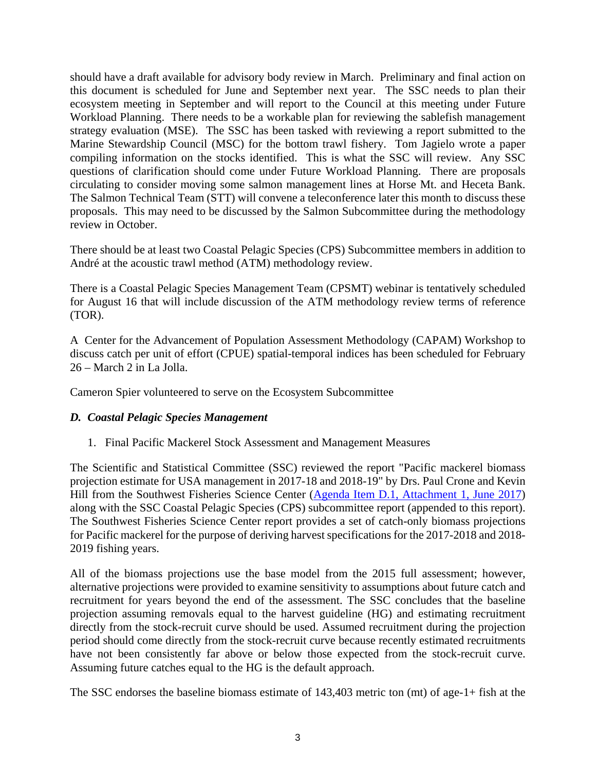should have a draft available for advisory body review in March. Preliminary and final action on this document is scheduled for June and September next year. The SSC needs to plan their ecosystem meeting in September and will report to the Council at this meeting under Future Workload Planning. There needs to be a workable plan for reviewing the sablefish management strategy evaluation (MSE). The SSC has been tasked with reviewing a report submitted to the Marine Stewardship Council (MSC) for the bottom trawl fishery. Tom Jagielo wrote a paper compiling information on the stocks identified. This is what the SSC will review. Any SSC questions of clarification should come under Future Workload Planning. There are proposals circulating to consider moving some salmon management lines at Horse Mt. and Heceta Bank. The Salmon Technical Team (STT) will convene a teleconference later this month to discuss these proposals. This may need to be discussed by the Salmon Subcommittee during the methodology review in October.

There should be at least two Coastal Pelagic Species (CPS) Subcommittee members in addition to André at the acoustic trawl method (ATM) methodology review.

There is a Coastal Pelagic Species Management Team (CPSMT) webinar is tentatively scheduled for August 16 that will include discussion of the ATM methodology review terms of reference (TOR).

A Center for the Advancement of Population Assessment Methodology (CAPAM) Workshop to discuss catch per unit of effort (CPUE) spatial-temporal indices has been scheduled for February 26 – March 2 in La Jolla.

Cameron Spier volunteered to serve on the Ecosystem Subcommittee

## *D. Coastal Pelagic Species Management*

1. Final Pacific Mackerel Stock Assessment and Management Measures

The Scientific and Statistical Committee (SSC) reviewed the report "Pacific mackerel biomass projection estimate for USA management in 2017-18 and 2018-19" by Drs. Paul Crone and Kevin Hill from the Southwest Fisheries Science Center [\(Agenda Item D.1, Attachment 1, June 2017\)](http://www.pcouncil.org/wp-content/uploads/2017/05/D1_Att1_Mackerel_Biomass_Estimate_Jun2017BB.pdf) along with the SSC Coastal Pelagic Species (CPS) subcommittee report (appended to this report). The Southwest Fisheries Science Center report provides a set of catch-only biomass projections for Pacific mackerel for the purpose of deriving harvest specifications for the 2017-2018 and 2018- 2019 fishing years.

All of the biomass projections use the base model from the 2015 full assessment; however, alternative projections were provided to examine sensitivity to assumptions about future catch and recruitment for years beyond the end of the assessment. The SSC concludes that the baseline projection assuming removals equal to the harvest guideline (HG) and estimating recruitment directly from the stock-recruit curve should be used. Assumed recruitment during the projection period should come directly from the stock-recruit curve because recently estimated recruitments have not been consistently far above or below those expected from the stock-recruit curve. Assuming future catches equal to the HG is the default approach.

The SSC endorses the baseline biomass estimate of 143,403 metric ton (mt) of age-1+ fish at the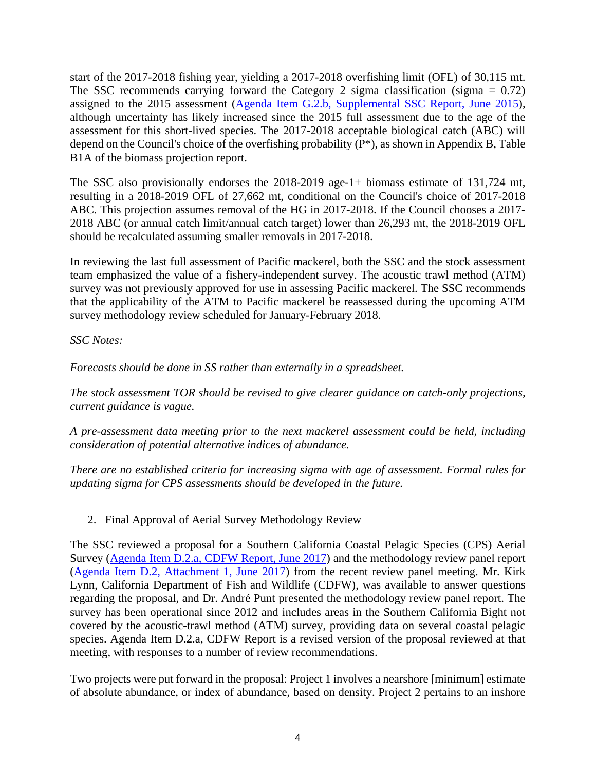start of the 2017-2018 fishing year, yielding a 2017-2018 overfishing limit (OFL) of 30,115 mt. The SSC recommends carrying forward the Category 2 sigma classification (sigma  $= 0.72$ ) assigned to the 2015 assessment [\(Agenda Item G.2.b, Supplemental SSC Report, June 2015\)](http://www.pcouncil.org/wp-content/uploads/2015/06/G2b_Sup_SSC_Rpt_JUN2015BB.pdf), although uncertainty has likely increased since the 2015 full assessment due to the age of the assessment for this short-lived species. The 2017-2018 acceptable biological catch (ABC) will depend on the Council's choice of the overfishing probability (P\*), as shown in Appendix B, Table B1A of the biomass projection report.

The SSC also provisionally endorses the 2018-2019 age-1+ biomass estimate of 131,724 mt, resulting in a 2018-2019 OFL of 27,662 mt, conditional on the Council's choice of 2017-2018 ABC. This projection assumes removal of the HG in 2017-2018. If the Council chooses a 2017- 2018 ABC (or annual catch limit/annual catch target) lower than 26,293 mt, the 2018-2019 OFL should be recalculated assuming smaller removals in 2017-2018.

In reviewing the last full assessment of Pacific mackerel, both the SSC and the stock assessment team emphasized the value of a fishery-independent survey. The acoustic trawl method (ATM) survey was not previously approved for use in assessing Pacific mackerel. The SSC recommends that the applicability of the ATM to Pacific mackerel be reassessed during the upcoming ATM survey methodology review scheduled for January-February 2018.

## *SSC Notes:*

*Forecasts should be done in SS rather than externally in a spreadsheet.*

*The stock assessment TOR should be revised to give clearer guidance on catch-only projections, current guidance is vague.*

*A pre-assessment data meeting prior to the next mackerel assessment could be held, including consideration of potential alternative indices of abundance.*

*There are no established criteria for increasing sigma with age of assessment. Formal rules for updating sigma for CPS assessments should be developed in the future.*

2. Final Approval of Aerial Survey Methodology Review

The SSC reviewed a proposal for a Southern California Coastal Pelagic Species (CPS) Aerial Survey [\(Agenda Item D.2.a, CDFW Report, June 2017\)](http://www.pcouncil.org/wp-content/uploads/2017/05/D2a_CDFW_Rpt_Jun2017BB.pdf) and the methodology review panel report [\(Agenda Item D.2, Attachment 1, June 2017\)](http://www.pcouncil.org/wp-content/uploads/2017/05/D2_Att1_Meth_Review_Panel_Rpt_Jun2017BB.pdf) from the recent review panel meeting. Mr. Kirk Lynn, California Department of Fish and Wildlife (CDFW), was available to answer questions regarding the proposal, and Dr. André Punt presented the methodology review panel report. The survey has been operational since 2012 and includes areas in the Southern California Bight not covered by the acoustic-trawl method (ATM) survey, providing data on several coastal pelagic species. Agenda Item D.2.a, CDFW Report is a revised version of the proposal reviewed at that meeting, with responses to a number of review recommendations.

Two projects were put forward in the proposal: Project 1 involves a nearshore [minimum] estimate of absolute abundance, or index of abundance, based on density. Project 2 pertains to an inshore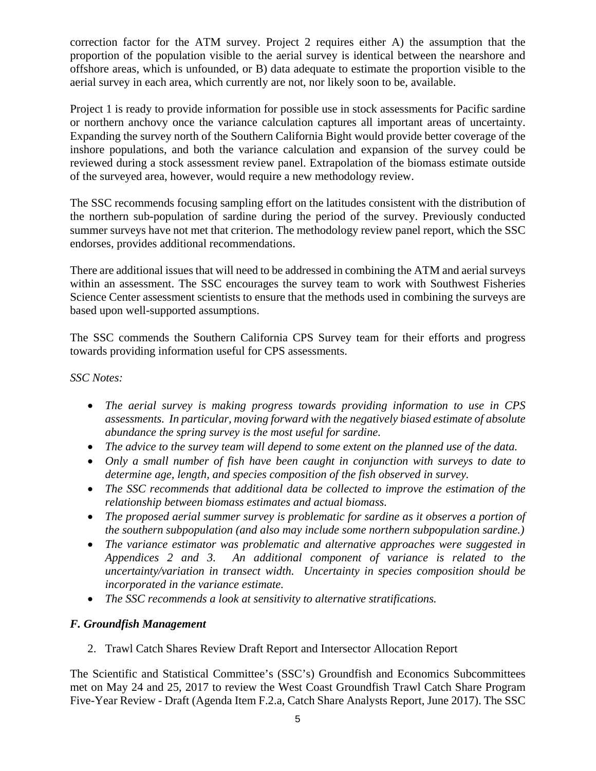correction factor for the ATM survey. Project 2 requires either A) the assumption that the proportion of the population visible to the aerial survey is identical between the nearshore and offshore areas, which is unfounded, or B) data adequate to estimate the proportion visible to the aerial survey in each area, which currently are not, nor likely soon to be, available.

Project 1 is ready to provide information for possible use in stock assessments for Pacific sardine or northern anchovy once the variance calculation captures all important areas of uncertainty. Expanding the survey north of the Southern California Bight would provide better coverage of the inshore populations, and both the variance calculation and expansion of the survey could be reviewed during a stock assessment review panel. Extrapolation of the biomass estimate outside of the surveyed area, however, would require a new methodology review.

The SSC recommends focusing sampling effort on the latitudes consistent with the distribution of the northern sub-population of sardine during the period of the survey. Previously conducted summer surveys have not met that criterion. The methodology review panel report, which the SSC endorses, provides additional recommendations.

There are additional issues that will need to be addressed in combining the ATM and aerial surveys within an assessment. The SSC encourages the survey team to work with Southwest Fisheries Science Center assessment scientists to ensure that the methods used in combining the surveys are based upon well-supported assumptions.

The SSC commends the Southern California CPS Survey team for their efforts and progress towards providing information useful for CPS assessments.

*SSC Notes:* 

- *The aerial survey is making progress towards providing information to use in CPS assessments. In particular, moving forward with the negatively biased estimate of absolute abundance the spring survey is the most useful for sardine.*
- *The advice to the survey team will depend to some extent on the planned use of the data.*
- *Only a small number of fish have been caught in conjunction with surveys to date to determine age, length, and species composition of the fish observed in survey.*
- *The SSC recommends that additional data be collected to improve the estimation of the relationship between biomass estimates and actual biomass.*
- *The proposed aerial summer survey is problematic for sardine as it observes a portion of the southern subpopulation (and also may include some northern subpopulation sardine.)*
- *The variance estimator was problematic and alternative approaches were suggested in Appendices 2 and 3. An additional component of variance is related to the uncertainty/variation in transect width. Uncertainty in species composition should be incorporated in the variance estimate.*
- *The SSC recommends a look at sensitivity to alternative stratifications.*

## *F. Groundfish Management*

2. Trawl Catch Shares Review Draft Report and Intersector Allocation Report

The Scientific and Statistical Committee's (SSC's) Groundfish and Economics Subcommittees met on May 24 and 25, 2017 to review the West Coast Groundfish Trawl Catch Share Program Five-Year Review - Draft (Agenda Item F.2.a, Catch Share Analysts Report, June 2017). The SSC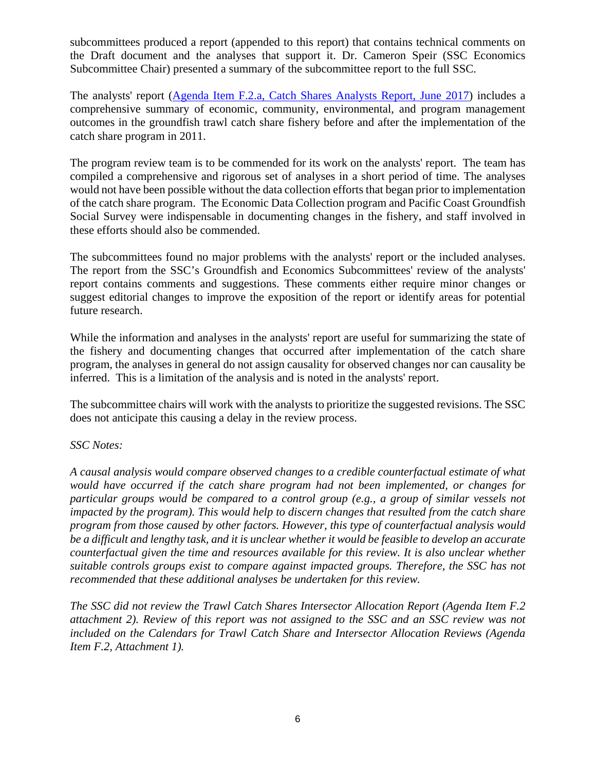subcommittees produced a report (appended to this report) that contains technical comments on the Draft document and the analyses that support it. Dr. Cameron Speir (SSC Economics Subcommittee Chair) presented a summary of the subcommittee report to the full SSC.

The analysts' report [\(Agenda Item F.2.a, Catch Shares Analysts Report, June 2017\)](http://www.pcouncil.org/wp-content/uploads/2017/05/F2a_CatchShareAnalystsReport_FullReport_ElectricOnly_Jun2017BB.pdf) includes a comprehensive summary of economic, community, environmental, and program management outcomes in the groundfish trawl catch share fishery before and after the implementation of the catch share program in 2011.

The program review team is to be commended for its work on the analysts' report. The team has compiled a comprehensive and rigorous set of analyses in a short period of time. The analyses would not have been possible without the data collection efforts that began prior to implementation of the catch share program. The Economic Data Collection program and Pacific Coast Groundfish Social Survey were indispensable in documenting changes in the fishery, and staff involved in these efforts should also be commended.

The subcommittees found no major problems with the analysts' report or the included analyses. The report from the SSC's Groundfish and Economics Subcommittees' review of the analysts' report contains comments and suggestions. These comments either require minor changes or suggest editorial changes to improve the exposition of the report or identify areas for potential future research.

While the information and analyses in the analysts' report are useful for summarizing the state of the fishery and documenting changes that occurred after implementation of the catch share program, the analyses in general do not assign causality for observed changes nor can causality be inferred. This is a limitation of the analysis and is noted in the analysts' report.

The subcommittee chairs will work with the analysts to prioritize the suggested revisions. The SSC does not anticipate this causing a delay in the review process.

## *SSC Notes:*

*A causal analysis would compare observed changes to a credible counterfactual estimate of what would have occurred if the catch share program had not been implemented, or changes for particular groups would be compared to a control group (e.g., a group of similar vessels not impacted by the program). This would help to discern changes that resulted from the catch share program from those caused by other factors. However, this type of counterfactual analysis would be a difficult and lengthy task, and it is unclear whether it would be feasible to develop an accurate counterfactual given the time and resources available for this review. It is also unclear whether suitable controls groups exist to compare against impacted groups. Therefore, the SSC has not recommended that these additional analyses be undertaken for this review.*

*The SSC did not review the Trawl Catch Shares Intersector Allocation Report (Agenda Item F.2 attachment 2). Review of this report was not assigned to the SSC and an SSC review was not included on the Calendars for Trawl Catch Share and Intersector Allocation Reviews (Agenda Item F.2, Attachment 1).*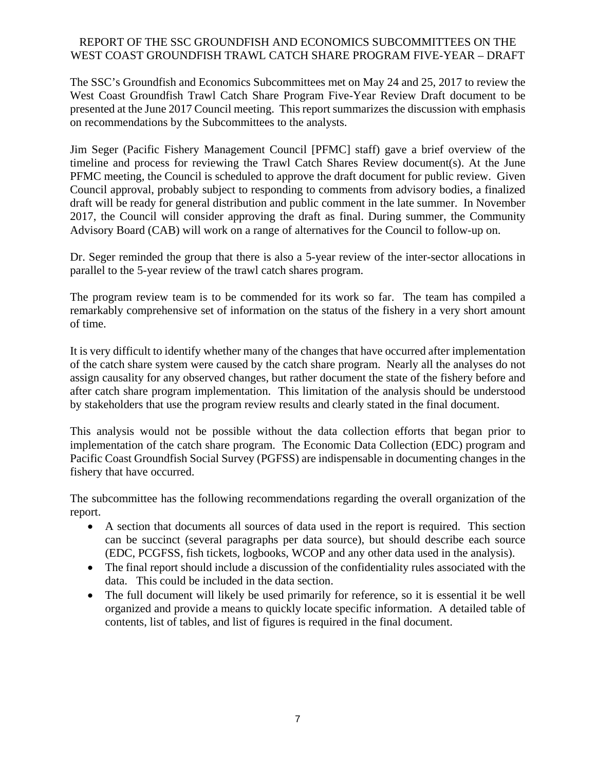## REPORT OF THE SSC GROUNDFISH AND ECONOMICS SUBCOMMITTEES ON THE WEST COAST GROUNDFISH TRAWL CATCH SHARE PROGRAM FIVE-YEAR – DRAFT

The SSC's Groundfish and Economics Subcommittees met on May 24 and 25, 2017 to review the West Coast Groundfish Trawl Catch Share Program Five-Year Review Draft document to be presented at the June 2017 Council meeting. This report summarizes the discussion with emphasis on recommendations by the Subcommittees to the analysts.

Jim Seger (Pacific Fishery Management Council [PFMC] staff) gave a brief overview of the timeline and process for reviewing the Trawl Catch Shares Review document(s). At the June PFMC meeting, the Council is scheduled to approve the draft document for public review. Given Council approval, probably subject to responding to comments from advisory bodies, a finalized draft will be ready for general distribution and public comment in the late summer. In November 2017, the Council will consider approving the draft as final. During summer, the Community Advisory Board (CAB) will work on a range of alternatives for the Council to follow-up on.

Dr. Seger reminded the group that there is also a 5-year review of the inter-sector allocations in parallel to the 5-year review of the trawl catch shares program.

The program review team is to be commended for its work so far. The team has compiled a remarkably comprehensive set of information on the status of the fishery in a very short amount of time.

It is very difficult to identify whether many of the changes that have occurred after implementation of the catch share system were caused by the catch share program. Nearly all the analyses do not assign causality for any observed changes, but rather document the state of the fishery before and after catch share program implementation. This limitation of the analysis should be understood by stakeholders that use the program review results and clearly stated in the final document.

This analysis would not be possible without the data collection efforts that began prior to implementation of the catch share program. The Economic Data Collection (EDC) program and Pacific Coast Groundfish Social Survey (PGFSS) are indispensable in documenting changes in the fishery that have occurred.

The subcommittee has the following recommendations regarding the overall organization of the report.

- A section that documents all sources of data used in the report is required. This section can be succinct (several paragraphs per data source), but should describe each source (EDC, PCGFSS, fish tickets, logbooks, WCOP and any other data used in the analysis).
- The final report should include a discussion of the confidentiality rules associated with the data. This could be included in the data section.
- The full document will likely be used primarily for reference, so it is essential it be well organized and provide a means to quickly locate specific information. A detailed table of contents, list of tables, and list of figures is required in the final document.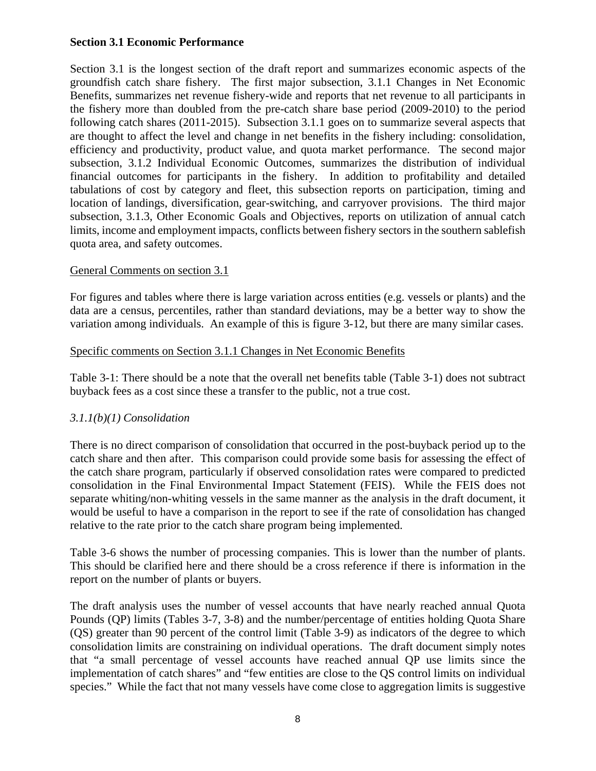### **Section 3.1 Economic Performance**

Section 3.1 is the longest section of the draft report and summarizes economic aspects of the groundfish catch share fishery. The first major subsection, 3.1.1 Changes in Net Economic Benefits, summarizes net revenue fishery-wide and reports that net revenue to all participants in the fishery more than doubled from the pre-catch share base period (2009-2010) to the period following catch shares (2011-2015). Subsection 3.1.1 goes on to summarize several aspects that are thought to affect the level and change in net benefits in the fishery including: consolidation, efficiency and productivity, product value, and quota market performance. The second major subsection, 3.1.2 Individual Economic Outcomes, summarizes the distribution of individual financial outcomes for participants in the fishery. In addition to profitability and detailed tabulations of cost by category and fleet, this subsection reports on participation, timing and location of landings, diversification, gear-switching, and carryover provisions. The third major subsection, 3.1.3, Other Economic Goals and Objectives, reports on utilization of annual catch limits, income and employment impacts, conflicts between fishery sectors in the southern sablefish quota area, and safety outcomes.

## General Comments on section 3.1

For figures and tables where there is large variation across entities (e.g. vessels or plants) and the data are a census, percentiles, rather than standard deviations, may be a better way to show the variation among individuals. An example of this is figure 3-12, but there are many similar cases.

## Specific comments on Section 3.1.1 Changes in Net Economic Benefits

Table 3-1: There should be a note that the overall net benefits table (Table 3-1) does not subtract buyback fees as a cost since these a transfer to the public, not a true cost.

## *3.1.1(b)(1) Consolidation*

There is no direct comparison of consolidation that occurred in the post-buyback period up to the catch share and then after. This comparison could provide some basis for assessing the effect of the catch share program, particularly if observed consolidation rates were compared to predicted consolidation in the Final Environmental Impact Statement (FEIS). While the FEIS does not separate whiting/non-whiting vessels in the same manner as the analysis in the draft document, it would be useful to have a comparison in the report to see if the rate of consolidation has changed relative to the rate prior to the catch share program being implemented.

Table 3-6 shows the number of processing companies. This is lower than the number of plants. This should be clarified here and there should be a cross reference if there is information in the report on the number of plants or buyers.

The draft analysis uses the number of vessel accounts that have nearly reached annual Quota Pounds (QP) limits (Tables 3-7, 3-8) and the number/percentage of entities holding Quota Share (QS) greater than 90 percent of the control limit (Table 3-9) as indicators of the degree to which consolidation limits are constraining on individual operations. The draft document simply notes that "a small percentage of vessel accounts have reached annual QP use limits since the implementation of catch shares" and "few entities are close to the QS control limits on individual species." While the fact that not many vessels have come close to aggregation limits is suggestive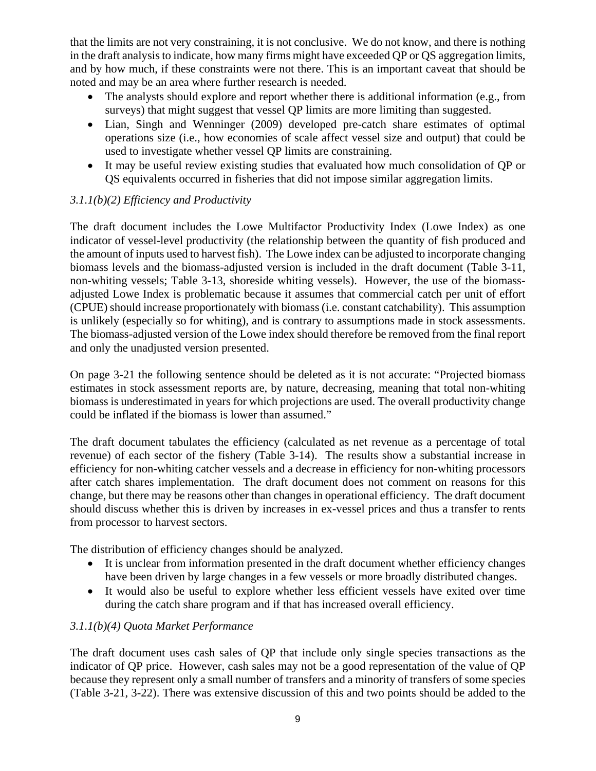that the limits are not very constraining, it is not conclusive. We do not know, and there is nothing in the draft analysis to indicate, how many firms might have exceeded QP or QS aggregation limits, and by how much, if these constraints were not there. This is an important caveat that should be noted and may be an area where further research is needed.

- The analysts should explore and report whether there is additional information (e.g., from surveys) that might suggest that vessel QP limits are more limiting than suggested.
- Lian, Singh and Wenninger (2009) developed pre-catch share estimates of optimal operations size (i.e., how economies of scale affect vessel size and output) that could be used to investigate whether vessel QP limits are constraining.
- It may be useful review existing studies that evaluated how much consolidation of QP or QS equivalents occurred in fisheries that did not impose similar aggregation limits.

# *3.1.1(b)(2) Efficiency and Productivity*

The draft document includes the Lowe Multifactor Productivity Index (Lowe Index) as one indicator of vessel-level productivity (the relationship between the quantity of fish produced and the amount of inputs used to harvest fish). The Lowe index can be adjusted to incorporate changing biomass levels and the biomass-adjusted version is included in the draft document (Table 3-11, non-whiting vessels; Table 3-13, shoreside whiting vessels). However, the use of the biomassadjusted Lowe Index is problematic because it assumes that commercial catch per unit of effort (CPUE) should increase proportionately with biomass (i.e. constant catchability). This assumption is unlikely (especially so for whiting), and is contrary to assumptions made in stock assessments. The biomass-adjusted version of the Lowe index should therefore be removed from the final report and only the unadjusted version presented.

On page 3-21 the following sentence should be deleted as it is not accurate: "Projected biomass estimates in stock assessment reports are, by nature, decreasing, meaning that total non-whiting biomass is underestimated in years for which projections are used. The overall productivity change could be inflated if the biomass is lower than assumed."

The draft document tabulates the efficiency (calculated as net revenue as a percentage of total revenue) of each sector of the fishery (Table 3-14). The results show a substantial increase in efficiency for non-whiting catcher vessels and a decrease in efficiency for non-whiting processors after catch shares implementation. The draft document does not comment on reasons for this change, but there may be reasons other than changes in operational efficiency. The draft document should discuss whether this is driven by increases in ex-vessel prices and thus a transfer to rents from processor to harvest sectors.

The distribution of efficiency changes should be analyzed.

- It is unclear from information presented in the draft document whether efficiency changes have been driven by large changes in a few vessels or more broadly distributed changes.
- It would also be useful to explore whether less efficient vessels have exited over time during the catch share program and if that has increased overall efficiency.

# *3.1.1(b)(4) Quota Market Performance*

The draft document uses cash sales of QP that include only single species transactions as the indicator of QP price. However, cash sales may not be a good representation of the value of QP because they represent only a small number of transfers and a minority of transfers of some species (Table 3-21, 3-22). There was extensive discussion of this and two points should be added to the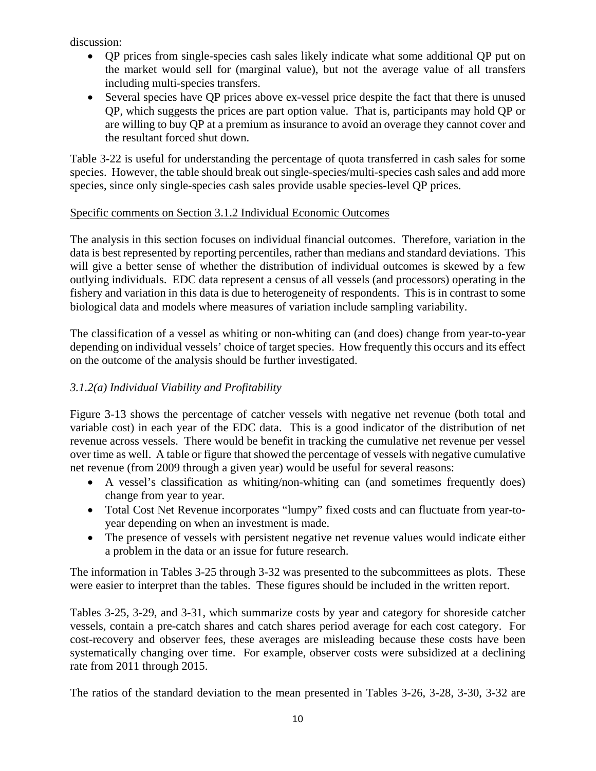discussion:

- QP prices from single-species cash sales likely indicate what some additional QP put on the market would sell for (marginal value), but not the average value of all transfers including multi-species transfers.
- Several species have OP prices above ex-vessel price despite the fact that there is unused QP, which suggests the prices are part option value. That is, participants may hold QP or are willing to buy QP at a premium as insurance to avoid an overage they cannot cover and the resultant forced shut down.

Table 3-22 is useful for understanding the percentage of quota transferred in cash sales for some species. However, the table should break out single-species/multi-species cash sales and add more species, since only single-species cash sales provide usable species-level QP prices.

## Specific comments on Section 3.1.2 Individual Economic Outcomes

The analysis in this section focuses on individual financial outcomes. Therefore, variation in the data is best represented by reporting percentiles, rather than medians and standard deviations. This will give a better sense of whether the distribution of individual outcomes is skewed by a few outlying individuals. EDC data represent a census of all vessels (and processors) operating in the fishery and variation in this data is due to heterogeneity of respondents. This is in contrast to some biological data and models where measures of variation include sampling variability.

The classification of a vessel as whiting or non-whiting can (and does) change from year-to-year depending on individual vessels' choice of target species. How frequently this occurs and its effect on the outcome of the analysis should be further investigated.

# *3.1.2(a) Individual Viability and Profitability*

Figure 3-13 shows the percentage of catcher vessels with negative net revenue (both total and variable cost) in each year of the EDC data. This is a good indicator of the distribution of net revenue across vessels. There would be benefit in tracking the cumulative net revenue per vessel over time as well. A table or figure that showed the percentage of vessels with negative cumulative net revenue (from 2009 through a given year) would be useful for several reasons:

- A vessel's classification as whiting/non-whiting can (and sometimes frequently does) change from year to year.
- Total Cost Net Revenue incorporates "lumpy" fixed costs and can fluctuate from year-toyear depending on when an investment is made.
- The presence of vessels with persistent negative net revenue values would indicate either a problem in the data or an issue for future research.

The information in Tables 3-25 through 3-32 was presented to the subcommittees as plots. These were easier to interpret than the tables. These figures should be included in the written report.

Tables 3-25, 3-29, and 3-31, which summarize costs by year and category for shoreside catcher vessels, contain a pre-catch shares and catch shares period average for each cost category. For cost-recovery and observer fees, these averages are misleading because these costs have been systematically changing over time. For example, observer costs were subsidized at a declining rate from 2011 through 2015.

The ratios of the standard deviation to the mean presented in Tables 3-26, 3-28, 3-30, 3-32 are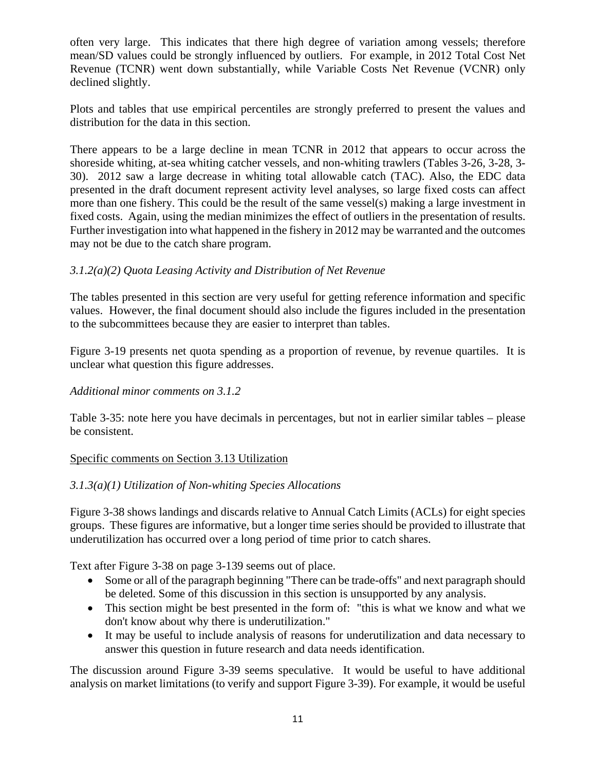often very large. This indicates that there high degree of variation among vessels; therefore mean/SD values could be strongly influenced by outliers. For example, in 2012 Total Cost Net Revenue (TCNR) went down substantially, while Variable Costs Net Revenue (VCNR) only declined slightly.

Plots and tables that use empirical percentiles are strongly preferred to present the values and distribution for the data in this section.

There appears to be a large decline in mean TCNR in 2012 that appears to occur across the shoreside whiting, at-sea whiting catcher vessels, and non-whiting trawlers (Tables 3-26, 3-28, 3- 30). 2012 saw a large decrease in whiting total allowable catch (TAC). Also, the EDC data presented in the draft document represent activity level analyses, so large fixed costs can affect more than one fishery. This could be the result of the same vessel(s) making a large investment in fixed costs. Again, using the median minimizes the effect of outliers in the presentation of results. Further investigation into what happened in the fishery in 2012 may be warranted and the outcomes may not be due to the catch share program.

## *3.1.2(a)(2) Quota Leasing Activity and Distribution of Net Revenue*

The tables presented in this section are very useful for getting reference information and specific values. However, the final document should also include the figures included in the presentation to the subcommittees because they are easier to interpret than tables.

Figure 3-19 presents net quota spending as a proportion of revenue, by revenue quartiles. It is unclear what question this figure addresses.

## *Additional minor comments on 3.1.2*

Table 3-35: note here you have decimals in percentages, but not in earlier similar tables – please be consistent.

## Specific comments on Section 3.13 Utilization

## *3.1.3(a)(1) Utilization of Non-whiting Species Allocations*

Figure 3-38 shows landings and discards relative to Annual Catch Limits (ACLs) for eight species groups. These figures are informative, but a longer time series should be provided to illustrate that underutilization has occurred over a long period of time prior to catch shares.

Text after Figure 3-38 on page 3-139 seems out of place.

- Some or all of the paragraph beginning "There can be trade-offs" and next paragraph should be deleted. Some of this discussion in this section is unsupported by any analysis.
- This section might be best presented in the form of: "this is what we know and what we don't know about why there is underutilization."
- It may be useful to include analysis of reasons for underutilization and data necessary to answer this question in future research and data needs identification.

The discussion around Figure 3-39 seems speculative. It would be useful to have additional analysis on market limitations (to verify and support Figure 3-39). For example, it would be useful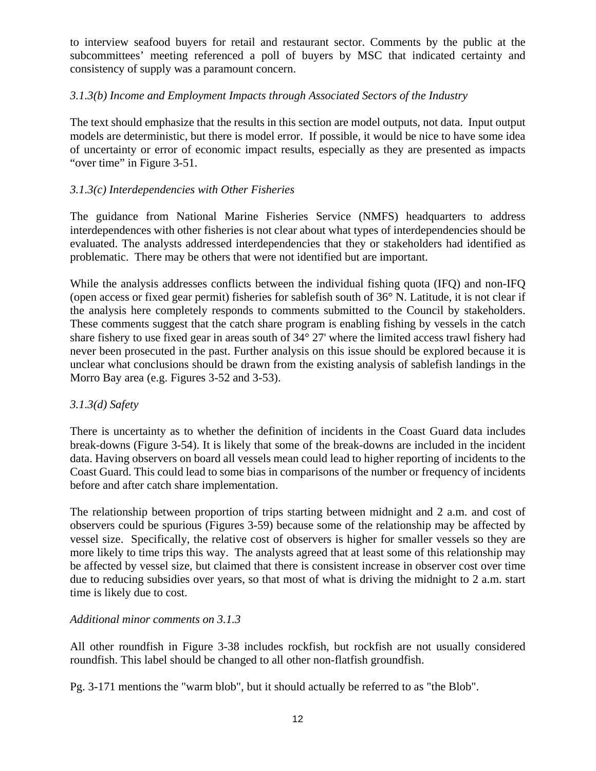to interview seafood buyers for retail and restaurant sector. Comments by the public at the subcommittees' meeting referenced a poll of buyers by MSC that indicated certainty and consistency of supply was a paramount concern.

## *3.1.3(b) Income and Employment Impacts through Associated Sectors of the Industry*

The text should emphasize that the results in this section are model outputs, not data. Input output models are deterministic, but there is model error. If possible, it would be nice to have some idea of uncertainty or error of economic impact results, especially as they are presented as impacts "over time" in Figure 3-51.

#### *3.1.3(c) Interdependencies with Other Fisheries*

The guidance from National Marine Fisheries Service (NMFS) headquarters to address interdependences with other fisheries is not clear about what types of interdependencies should be evaluated. The analysts addressed interdependencies that they or stakeholders had identified as problematic. There may be others that were not identified but are important.

While the analysis addresses conflicts between the individual fishing quota (IFQ) and non-IFQ (open access or fixed gear permit) fisheries for sablefish south of 36° N. Latitude, it is not clear if the analysis here completely responds to comments submitted to the Council by stakeholders. These comments suggest that the catch share program is enabling fishing by vessels in the catch share fishery to use fixed gear in areas south of 34° 27' where the limited access trawl fishery had never been prosecuted in the past. Further analysis on this issue should be explored because it is unclear what conclusions should be drawn from the existing analysis of sablefish landings in the Morro Bay area (e.g. Figures 3-52 and 3-53).

#### *3.1.3(d) Safety*

There is uncertainty as to whether the definition of incidents in the Coast Guard data includes break-downs (Figure 3-54). It is likely that some of the break-downs are included in the incident data. Having observers on board all vessels mean could lead to higher reporting of incidents to the Coast Guard. This could lead to some bias in comparisons of the number or frequency of incidents before and after catch share implementation.

The relationship between proportion of trips starting between midnight and 2 a.m. and cost of observers could be spurious (Figures 3-59) because some of the relationship may be affected by vessel size. Specifically, the relative cost of observers is higher for smaller vessels so they are more likely to time trips this way. The analysts agreed that at least some of this relationship may be affected by vessel size, but claimed that there is consistent increase in observer cost over time due to reducing subsidies over years, so that most of what is driving the midnight to 2 a.m. start time is likely due to cost.

#### *Additional minor comments on 3.1.3*

All other roundfish in Figure 3-38 includes rockfish, but rockfish are not usually considered roundfish. This label should be changed to all other non-flatfish groundfish.

Pg. 3-171 mentions the "warm blob", but it should actually be referred to as "the Blob".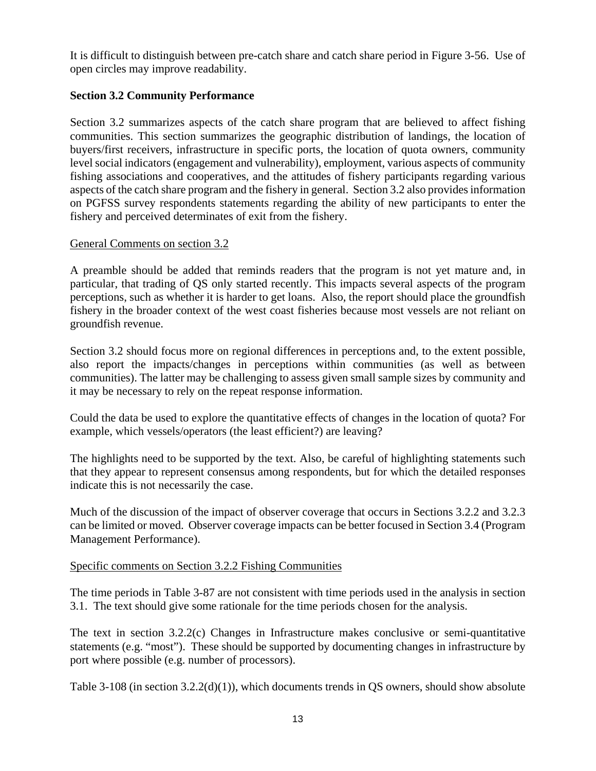It is difficult to distinguish between pre-catch share and catch share period in Figure 3-56. Use of open circles may improve readability.

## **Section 3.2 Community Performance**

Section 3.2 summarizes aspects of the catch share program that are believed to affect fishing communities. This section summarizes the geographic distribution of landings, the location of buyers/first receivers, infrastructure in specific ports, the location of quota owners, community level social indicators (engagement and vulnerability), employment, various aspects of community fishing associations and cooperatives, and the attitudes of fishery participants regarding various aspects of the catch share program and the fishery in general. Section 3.2 also provides information on PGFSS survey respondents statements regarding the ability of new participants to enter the fishery and perceived determinates of exit from the fishery.

## General Comments on section 3.2

A preamble should be added that reminds readers that the program is not yet mature and, in particular, that trading of QS only started recently. This impacts several aspects of the program perceptions, such as whether it is harder to get loans. Also, the report should place the groundfish fishery in the broader context of the west coast fisheries because most vessels are not reliant on groundfish revenue.

Section 3.2 should focus more on regional differences in perceptions and, to the extent possible, also report the impacts/changes in perceptions within communities (as well as between communities). The latter may be challenging to assess given small sample sizes by community and it may be necessary to rely on the repeat response information.

Could the data be used to explore the quantitative effects of changes in the location of quota? For example, which vessels/operators (the least efficient?) are leaving?

The highlights need to be supported by the text. Also, be careful of highlighting statements such that they appear to represent consensus among respondents, but for which the detailed responses indicate this is not necessarily the case.

Much of the discussion of the impact of observer coverage that occurs in Sections 3.2.2 and 3.2.3 can be limited or moved. Observer coverage impacts can be better focused in Section 3.4 (Program Management Performance).

#### Specific comments on Section 3.2.2 Fishing Communities

The time periods in Table 3-87 are not consistent with time periods used in the analysis in section 3.1. The text should give some rationale for the time periods chosen for the analysis.

The text in section 3.2.2(c) Changes in Infrastructure makes conclusive or semi-quantitative statements (e.g. "most"). These should be supported by documenting changes in infrastructure by port where possible (e.g. number of processors).

Table 3-108 (in section  $3.2.2(d)(1)$ ), which documents trends in QS owners, should show absolute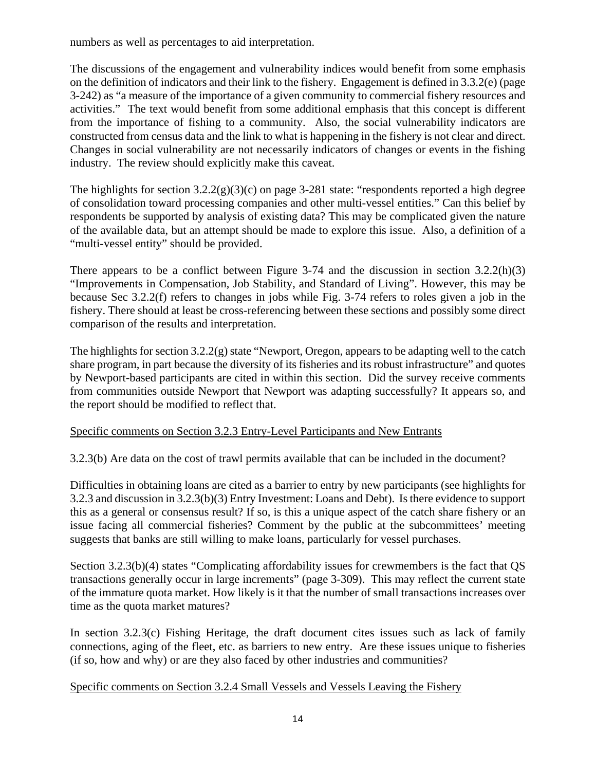numbers as well as percentages to aid interpretation.

The discussions of the engagement and vulnerability indices would benefit from some emphasis on the definition of indicators and their link to the fishery. Engagement is defined in 3.3.2(e) (page 3-242) as "a measure of the importance of a given community to commercial fishery resources and activities." The text would benefit from some additional emphasis that this concept is different from the importance of fishing to a community. Also, the social vulnerability indicators are constructed from census data and the link to what is happening in the fishery is not clear and direct. Changes in social vulnerability are not necessarily indicators of changes or events in the fishing industry. The review should explicitly make this caveat.

The highlights for section  $3.2.2(g)(3)(c)$  on page 3-281 state: "respondents reported a high degree of consolidation toward processing companies and other multi-vessel entities." Can this belief by respondents be supported by analysis of existing data? This may be complicated given the nature of the available data, but an attempt should be made to explore this issue. Also, a definition of a "multi-vessel entity" should be provided.

There appears to be a conflict between Figure 3-74 and the discussion in section  $3.2.2(h)(3)$ "Improvements in Compensation, Job Stability, and Standard of Living". However, this may be because Sec 3.2.2(f) refers to changes in jobs while Fig. 3-74 refers to roles given a job in the fishery. There should at least be cross-referencing between these sections and possibly some direct comparison of the results and interpretation.

The highlights for section 3.2.2(g) state "Newport, Oregon, appears to be adapting well to the catch share program, in part because the diversity of its fisheries and its robust infrastructure" and quotes by Newport-based participants are cited in within this section. Did the survey receive comments from communities outside Newport that Newport was adapting successfully? It appears so, and the report should be modified to reflect that.

## Specific comments on Section 3.2.3 Entry-Level Participants and New Entrants

3.2.3(b) Are data on the cost of trawl permits available that can be included in the document?

Difficulties in obtaining loans are cited as a barrier to entry by new participants (see highlights for 3.2.3 and discussion in 3.2.3(b)(3) Entry Investment: Loans and Debt). Is there evidence to support this as a general or consensus result? If so, is this a unique aspect of the catch share fishery or an issue facing all commercial fisheries? Comment by the public at the subcommittees' meeting suggests that banks are still willing to make loans, particularly for vessel purchases.

Section 3.2.3(b)(4) states "Complicating affordability issues for crewmembers is the fact that QS transactions generally occur in large increments" (page 3-309). This may reflect the current state of the immature quota market. How likely is it that the number of small transactions increases over time as the quota market matures?

In section 3.2.3(c) Fishing Heritage, the draft document cites issues such as lack of family connections, aging of the fleet, etc. as barriers to new entry. Are these issues unique to fisheries (if so, how and why) or are they also faced by other industries and communities?

Specific comments on Section 3.2.4 Small Vessels and Vessels Leaving the Fishery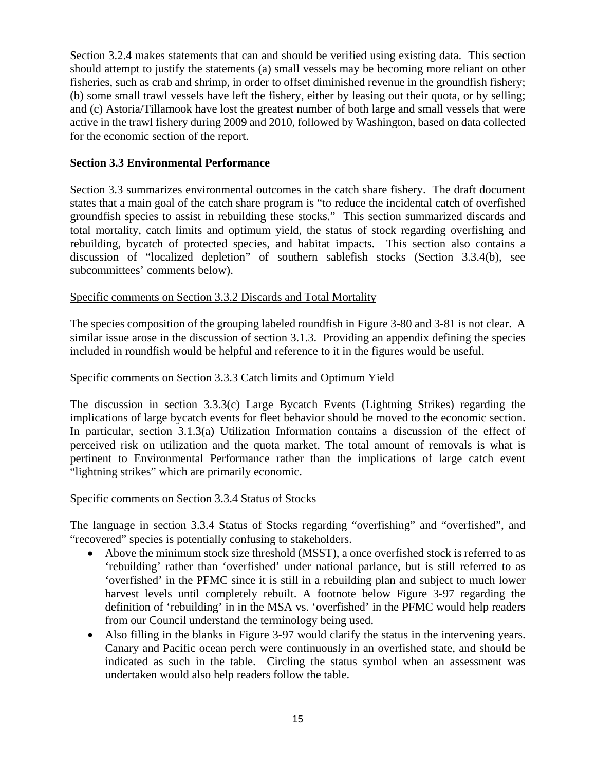Section 3.2.4 makes statements that can and should be verified using existing data. This section should attempt to justify the statements (a) small vessels may be becoming more reliant on other fisheries, such as crab and shrimp, in order to offset diminished revenue in the groundfish fishery; (b) some small trawl vessels have left the fishery, either by leasing out their quota, or by selling; and (c) Astoria/Tillamook have lost the greatest number of both large and small vessels that were active in the trawl fishery during 2009 and 2010, followed by Washington, based on data collected for the economic section of the report.

## **Section 3.3 Environmental Performance**

Section 3.3 summarizes environmental outcomes in the catch share fishery. The draft document states that a main goal of the catch share program is "to reduce the incidental catch of overfished groundfish species to assist in rebuilding these stocks." This section summarized discards and total mortality, catch limits and optimum yield, the status of stock regarding overfishing and rebuilding, bycatch of protected species, and habitat impacts. This section also contains a discussion of "localized depletion" of southern sablefish stocks (Section 3.3.4(b), see subcommittees' comments below).

## Specific comments on Section 3.3.2 Discards and Total Mortality

The species composition of the grouping labeled roundfish in Figure 3-80 and 3-81 is not clear. A similar issue arose in the discussion of section 3.1.3. Providing an appendix defining the species included in roundfish would be helpful and reference to it in the figures would be useful.

#### Specific comments on Section 3.3.3 Catch limits and Optimum Yield

The discussion in section 3.3.3(c) Large Bycatch Events (Lightning Strikes) regarding the implications of large bycatch events for fleet behavior should be moved to the economic section. In particular, section 3.1.3(a) Utilization Information contains a discussion of the effect of perceived risk on utilization and the quota market. The total amount of removals is what is pertinent to Environmental Performance rather than the implications of large catch event "lightning strikes" which are primarily economic.

#### Specific comments on Section 3.3.4 Status of Stocks

The language in section 3.3.4 Status of Stocks regarding "overfishing" and "overfished", and "recovered" species is potentially confusing to stakeholders.

- Above the minimum stock size threshold (MSST), a once overfished stock is referred to as 'rebuilding' rather than 'overfished' under national parlance, but is still referred to as 'overfished' in the PFMC since it is still in a rebuilding plan and subject to much lower harvest levels until completely rebuilt. A footnote below Figure 3-97 regarding the definition of 'rebuilding' in in the MSA vs. 'overfished' in the PFMC would help readers from our Council understand the terminology being used.
- Also filling in the blanks in Figure 3-97 would clarify the status in the intervening years. Canary and Pacific ocean perch were continuously in an overfished state, and should be indicated as such in the table. Circling the status symbol when an assessment was undertaken would also help readers follow the table.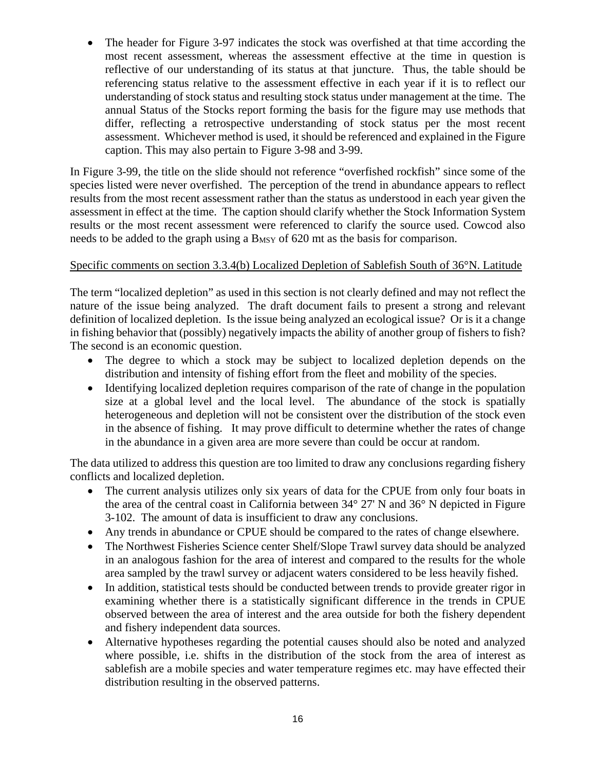• The header for Figure 3-97 indicates the stock was overfished at that time according the most recent assessment, whereas the assessment effective at the time in question is reflective of our understanding of its status at that juncture. Thus, the table should be referencing status relative to the assessment effective in each year if it is to reflect our understanding of stock status and resulting stock status under management at the time. The annual Status of the Stocks report forming the basis for the figure may use methods that differ, reflecting a retrospective understanding of stock status per the most recent assessment. Whichever method is used, it should be referenced and explained in the Figure caption. This may also pertain to Figure 3-98 and 3-99.

In Figure 3-99, the title on the slide should not reference "overfished rockfish" since some of the species listed were never overfished. The perception of the trend in abundance appears to reflect results from the most recent assessment rather than the status as understood in each year given the assessment in effect at the time. The caption should clarify whether the Stock Information System results or the most recent assessment were referenced to clarify the source used. Cowcod also needs to be added to the graph using a B<sub>MSY</sub> of 620 mt as the basis for comparison.

## Specific comments on section 3.3.4(b) Localized Depletion of Sablefish South of 36°N. Latitude

The term "localized depletion" as used in this section is not clearly defined and may not reflect the nature of the issue being analyzed. The draft document fails to present a strong and relevant definition of localized depletion. Is the issue being analyzed an ecological issue? Or is it a change in fishing behavior that (possibly) negatively impacts the ability of another group of fishers to fish? The second is an economic question.

- The degree to which a stock may be subject to localized depletion depends on the distribution and intensity of fishing effort from the fleet and mobility of the species.
- Identifying localized depletion requires comparison of the rate of change in the population size at a global level and the local level. The abundance of the stock is spatially heterogeneous and depletion will not be consistent over the distribution of the stock even in the absence of fishing. It may prove difficult to determine whether the rates of change in the abundance in a given area are more severe than could be occur at random.

The data utilized to address this question are too limited to draw any conclusions regarding fishery conflicts and localized depletion.

- The current analysis utilizes only six years of data for the CPUE from only four boats in the area of the central coast in California between 34° 27' N and 36° N depicted in Figure 3-102. The amount of data is insufficient to draw any conclusions.
- Any trends in abundance or CPUE should be compared to the rates of change elsewhere.
- The Northwest Fisheries Science center Shelf/Slope Trawl survey data should be analyzed in an analogous fashion for the area of interest and compared to the results for the whole area sampled by the trawl survey or adjacent waters considered to be less heavily fished.
- In addition, statistical tests should be conducted between trends to provide greater rigor in examining whether there is a statistically significant difference in the trends in CPUE observed between the area of interest and the area outside for both the fishery dependent and fishery independent data sources.
- Alternative hypotheses regarding the potential causes should also be noted and analyzed where possible, i.e. shifts in the distribution of the stock from the area of interest as sablefish are a mobile species and water temperature regimes etc. may have effected their distribution resulting in the observed patterns.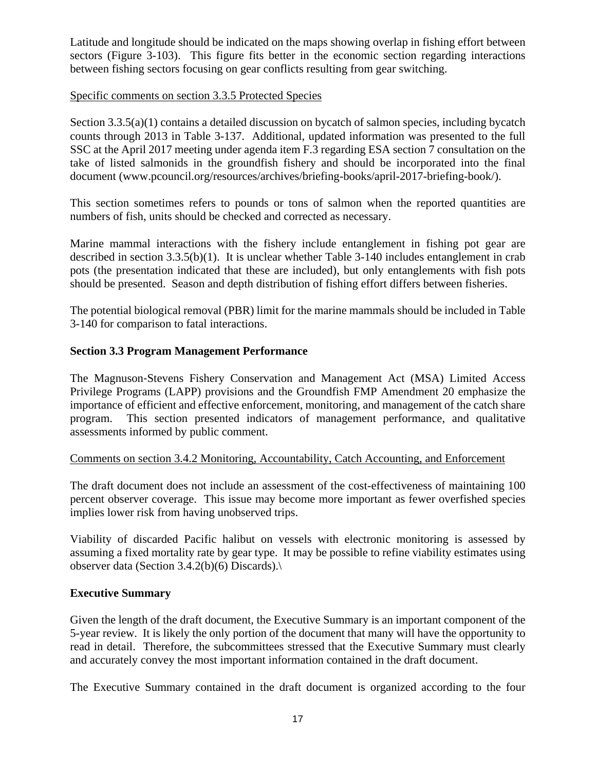Latitude and longitude should be indicated on the maps showing overlap in fishing effort between sectors (Figure 3-103). This figure fits better in the economic section regarding interactions between fishing sectors focusing on gear conflicts resulting from gear switching.

### Specific comments on section 3.3.5 Protected Species

Section 3.3.5(a)(1) contains a detailed discussion on bycatch of salmon species, including bycatch counts through 2013 in Table 3-137. Additional, updated information was presented to the full SSC at the April 2017 meeting under agenda item F.3 regarding ESA section 7 consultation on the take of listed salmonids in the groundfish fishery and should be incorporated into the final document (www.pcouncil.org/resources/archives/briefing-books/april-2017-briefing-book/).

This section sometimes refers to pounds or tons of salmon when the reported quantities are numbers of fish, units should be checked and corrected as necessary.

Marine mammal interactions with the fishery include entanglement in fishing pot gear are described in section 3.3.5(b)(1). It is unclear whether Table 3-140 includes entanglement in crab pots (the presentation indicated that these are included), but only entanglements with fish pots should be presented. Season and depth distribution of fishing effort differs between fisheries.

The potential biological removal (PBR) limit for the marine mammals should be included in Table 3-140 for comparison to fatal interactions.

## **Section 3.3 Program Management Performance**

The Magnuson‐Stevens Fishery Conservation and Management Act (MSA) Limited Access Privilege Programs (LAPP) provisions and the Groundfish FMP Amendment 20 emphasize the importance of efficient and effective enforcement, monitoring, and management of the catch share program. This section presented indicators of management performance, and qualitative assessments informed by public comment.

#### Comments on section 3.4.2 Monitoring, Accountability, Catch Accounting, and Enforcement

The draft document does not include an assessment of the cost-effectiveness of maintaining 100 percent observer coverage. This issue may become more important as fewer overfished species implies lower risk from having unobserved trips.

Viability of discarded Pacific halibut on vessels with electronic monitoring is assessed by assuming a fixed mortality rate by gear type. It may be possible to refine viability estimates using observer data (Section 3.4.2(b)(6) Discards).\

#### **Executive Summary**

Given the length of the draft document, the Executive Summary is an important component of the 5-year review. It is likely the only portion of the document that many will have the opportunity to read in detail. Therefore, the subcommittees stressed that the Executive Summary must clearly and accurately convey the most important information contained in the draft document.

The Executive Summary contained in the draft document is organized according to the four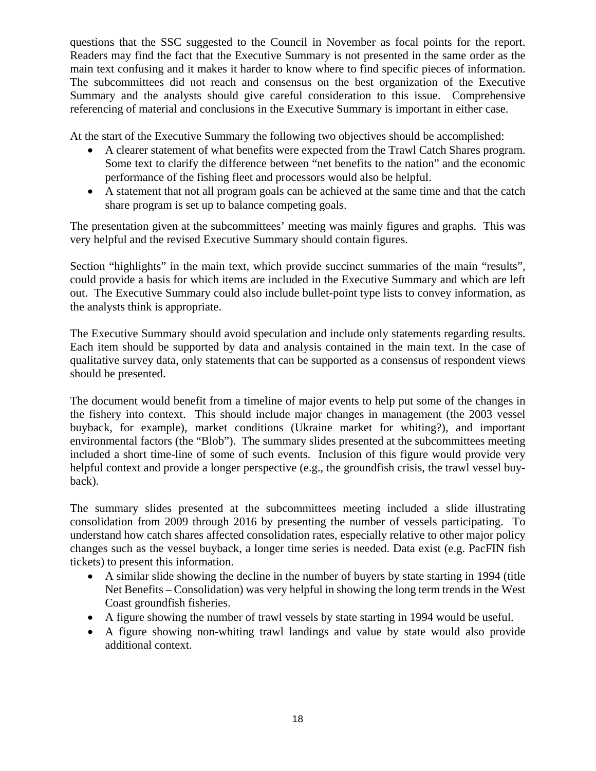questions that the SSC suggested to the Council in November as focal points for the report. Readers may find the fact that the Executive Summary is not presented in the same order as the main text confusing and it makes it harder to know where to find specific pieces of information. The subcommittees did not reach and consensus on the best organization of the Executive Summary and the analysts should give careful consideration to this issue. Comprehensive referencing of material and conclusions in the Executive Summary is important in either case.

At the start of the Executive Summary the following two objectives should be accomplished:

- A clearer statement of what benefits were expected from the Trawl Catch Shares program. Some text to clarify the difference between "net benefits to the nation" and the economic performance of the fishing fleet and processors would also be helpful.
- A statement that not all program goals can be achieved at the same time and that the catch share program is set up to balance competing goals.

The presentation given at the subcommittees' meeting was mainly figures and graphs. This was very helpful and the revised Executive Summary should contain figures.

Section "highlights" in the main text, which provide succinct summaries of the main "results", could provide a basis for which items are included in the Executive Summary and which are left out. The Executive Summary could also include bullet-point type lists to convey information, as the analysts think is appropriate.

The Executive Summary should avoid speculation and include only statements regarding results. Each item should be supported by data and analysis contained in the main text. In the case of qualitative survey data, only statements that can be supported as a consensus of respondent views should be presented.

The document would benefit from a timeline of major events to help put some of the changes in the fishery into context. This should include major changes in management (the 2003 vessel buyback, for example), market conditions (Ukraine market for whiting?), and important environmental factors (the "Blob"). The summary slides presented at the subcommittees meeting included a short time-line of some of such events. Inclusion of this figure would provide very helpful context and provide a longer perspective (e.g., the ground fish crisis, the trawl vessel buyback).

The summary slides presented at the subcommittees meeting included a slide illustrating consolidation from 2009 through 2016 by presenting the number of vessels participating. To understand how catch shares affected consolidation rates, especially relative to other major policy changes such as the vessel buyback, a longer time series is needed. Data exist (e.g. PacFIN fish tickets) to present this information.

- A similar slide showing the decline in the number of buyers by state starting in 1994 (title Net Benefits – Consolidation) was very helpful in showing the long term trends in the West Coast groundfish fisheries.
- A figure showing the number of trawl vessels by state starting in 1994 would be useful.
- A figure showing non-whiting trawl landings and value by state would also provide additional context.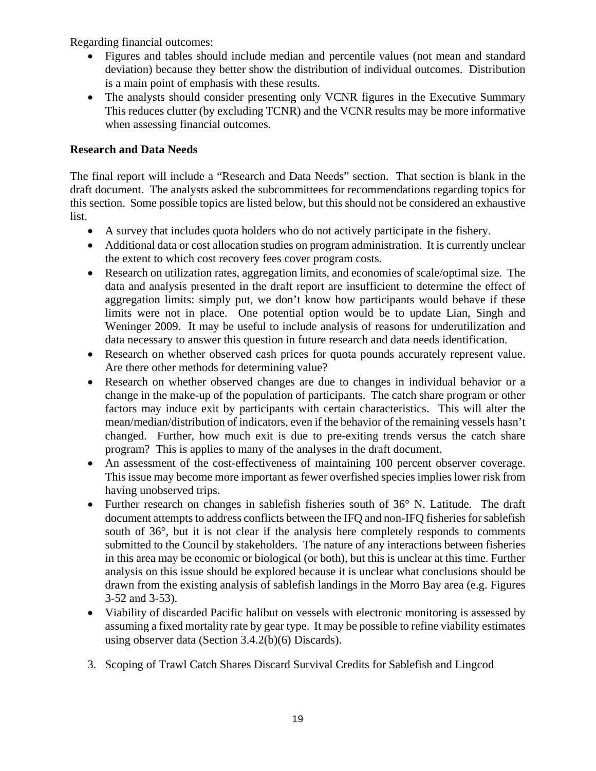Regarding financial outcomes:

- Figures and tables should include median and percentile values (not mean and standard deviation) because they better show the distribution of individual outcomes. Distribution is a main point of emphasis with these results.
- The analysts should consider presenting only VCNR figures in the Executive Summary This reduces clutter (by excluding TCNR) and the VCNR results may be more informative when assessing financial outcomes.

# **Research and Data Needs**

The final report will include a "Research and Data Needs" section. That section is blank in the draft document. The analysts asked the subcommittees for recommendations regarding topics for this section. Some possible topics are listed below, but this should not be considered an exhaustive list.

- A survey that includes quota holders who do not actively participate in the fishery.
- Additional data or cost allocation studies on program administration. It is currently unclear the extent to which cost recovery fees cover program costs.
- Research on utilization rates, aggregation limits, and economies of scale/optimal size. The data and analysis presented in the draft report are insufficient to determine the effect of aggregation limits: simply put, we don't know how participants would behave if these limits were not in place. One potential option would be to update Lian, Singh and Weninger 2009. It may be useful to include analysis of reasons for underutilization and data necessary to answer this question in future research and data needs identification.
- Research on whether observed cash prices for quota pounds accurately represent value. Are there other methods for determining value?
- Research on whether observed changes are due to changes in individual behavior or a change in the make-up of the population of participants. The catch share program or other factors may induce exit by participants with certain characteristics. This will alter the mean/median/distribution of indicators, even if the behavior of the remaining vessels hasn't changed. Further, how much exit is due to pre-exiting trends versus the catch share program? This is applies to many of the analyses in the draft document.
- An assessment of the cost-effectiveness of maintaining 100 percent observer coverage. This issue may become more important as fewer overfished species implies lower risk from having unobserved trips.
- Further research on changes in sablefish fisheries south of 36° N. Latitude. The draft document attempts to address conflicts between the IFQ and non-IFQ fisheries for sablefish south of 36°, but it is not clear if the analysis here completely responds to comments submitted to the Council by stakeholders. The nature of any interactions between fisheries in this area may be economic or biological (or both), but this is unclear at this time. Further analysis on this issue should be explored because it is unclear what conclusions should be drawn from the existing analysis of sablefish landings in the Morro Bay area (e.g. Figures 3-52 and 3-53).
- Viability of discarded Pacific halibut on vessels with electronic monitoring is assessed by assuming a fixed mortality rate by gear type. It may be possible to refine viability estimates using observer data (Section 3.4.2(b)(6) Discards).
- 3. Scoping of Trawl Catch Shares Discard Survival Credits for Sablefish and Lingcod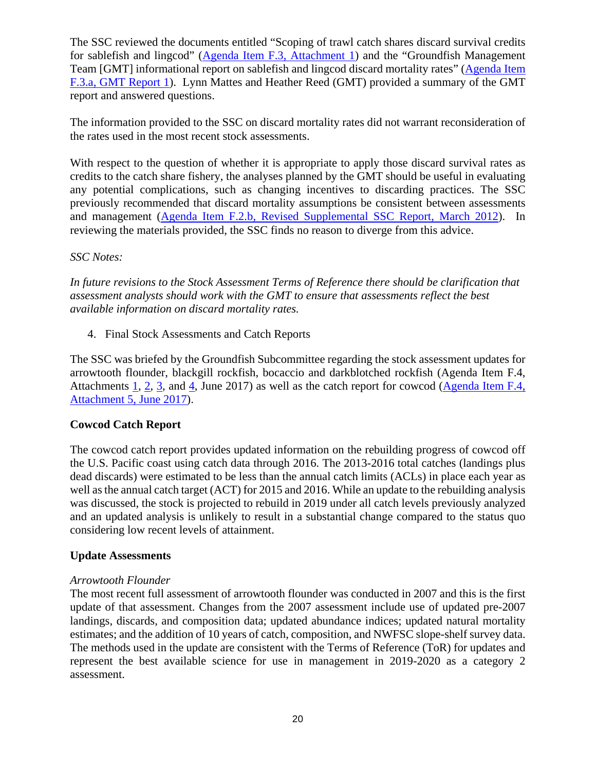The SSC reviewed the documents entitled "Scoping of trawl catch shares discard survival credits for sablefish and lingcod" [\(Agenda Item F.3, Attachment 1\)](http://www.pcouncil.org/wp-content/uploads/2017/05/F3_Att1_IFQ_Survival-credit_ScopingJUNE2017BB.pdf) and the "Groundfish Management Team [GMT] informational report on sablefish and lingcod discard mortality rates" [\(Agenda Item](http://www.pcouncil.org/wp-content/uploads/2017/05/F3a_GMT_Rpt1_DiscardMortality_JUNE2017BB.pdf)  [F.3.a, GMT Report 1\)](http://www.pcouncil.org/wp-content/uploads/2017/05/F3a_GMT_Rpt1_DiscardMortality_JUNE2017BB.pdf). Lynn Mattes and Heather Reed (GMT) provided a summary of the GMT report and answered questions.

The information provided to the SSC on discard mortality rates did not warrant reconsideration of the rates used in the most recent stock assessments.

With respect to the question of whether it is appropriate to apply those discard survival rates as credits to the catch share fishery, the analyses planned by the GMT should be useful in evaluating any potential complications, such as changing incentives to discarding practices. The SSC previously recommended that discard mortality assumptions be consistent between assessments and management [\(Agenda Item F.2.b, Revised Supplemental SSC Report, March 2012\)](http://www.pcouncil.org/wp-content/uploads/F2b_SUP_REVISED_SSC_MAR2012BB.pdf). In reviewing the materials provided, the SSC finds no reason to diverge from this advice.

## *SSC Notes:*

*In future revisions to the Stock Assessment Terms of Reference there should be clarification that assessment analysts should work with the GMT to ensure that assessments reflect the best available information on discard mortality rates.*

4. Final Stock Assessments and Catch Reports

The SSC was briefed by the Groundfish Subcommittee regarding the stock assessment updates for arrowtooth flounder, blackgill rockfish, bocaccio and darkblotched rockfish (Agenda Item F.4, Attachments [1,](http://www.pcouncil.org/wp-content/uploads/2017/05/F4_Att1_2017_Arrowtooth_Assessment_DraftFull_Version_Electronic_Only_Jun2017BB.pdf) [2,](http://www.pcouncil.org/wp-content/uploads/2017/05/F4_Att2_bgill_2017_DraftFull-ElectronicOnly_Jun2017BB.pdf) [3,](http://www.pcouncil.org/wp-content/uploads/2017/05/F4_Att3__2017_Bocaccio_Assessment_DraftFull_Version_Electronic_Only_Jun2017BB.pdf) and [4,](http://www.pcouncil.org/wp-content/uploads/2017/05/F4_Att4_DBRK_2017_Assessment_Update_Full-ElectronicOnly_Jun2017BB.pdf) June 2017) as well as the catch report for cowcod [\(Agenda Item F.4,](http://www.pcouncil.org/wp-content/uploads/2017/05/F4_Att5_CowcodCatchReport_Jun2017BB.pdf)  [Attachment 5, June 2017\)](http://www.pcouncil.org/wp-content/uploads/2017/05/F4_Att5_CowcodCatchReport_Jun2017BB.pdf).

## **Cowcod Catch Report**

The cowcod catch report provides updated information on the rebuilding progress of cowcod off the U.S. Pacific coast using catch data through 2016. The 2013-2016 total catches (landings plus dead discards) were estimated to be less than the annual catch limits (ACLs) in place each year as well as the annual catch target (ACT) for 2015 and 2016. While an update to the rebuilding analysis was discussed, the stock is projected to rebuild in 2019 under all catch levels previously analyzed and an updated analysis is unlikely to result in a substantial change compared to the status quo considering low recent levels of attainment.

#### **Update Assessments**

#### *Arrowtooth Flounder*

The most recent full assessment of arrowtooth flounder was conducted in 2007 and this is the first update of that assessment. Changes from the 2007 assessment include use of updated pre-2007 landings, discards, and composition data; updated abundance indices; updated natural mortality estimates; and the addition of 10 years of catch, composition, and NWFSC slope-shelf survey data. The methods used in the update are consistent with the Terms of Reference (ToR) for updates and represent the best available science for use in management in 2019-2020 as a category 2 assessment.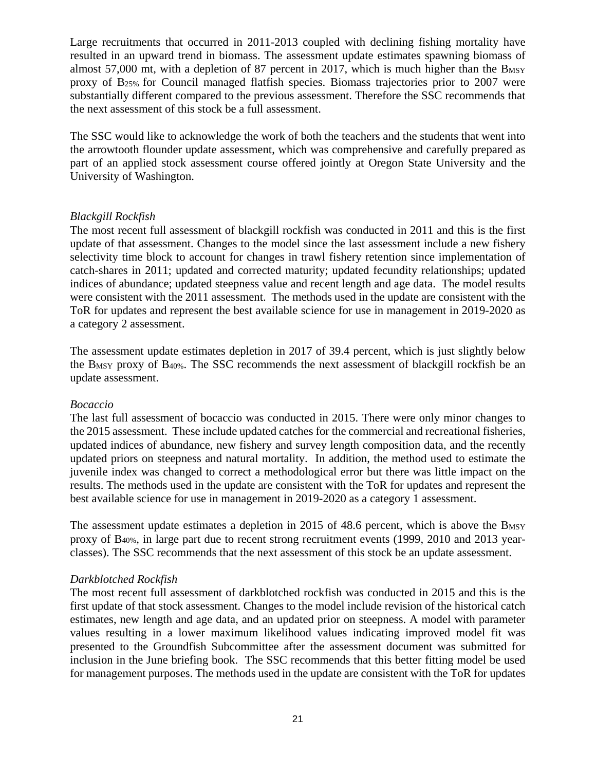Large recruitments that occurred in 2011-2013 coupled with declining fishing mortality have resulted in an upward trend in biomass. The assessment update estimates spawning biomass of almost 57,000 mt, with a depletion of 87 percent in 2017, which is much higher than the  $B_{MSY}$ proxy of B25% for Council managed flatfish species. Biomass trajectories prior to 2007 were substantially different compared to the previous assessment. Therefore the SSC recommends that the next assessment of this stock be a full assessment.

The SSC would like to acknowledge the work of both the teachers and the students that went into the arrowtooth flounder update assessment, which was comprehensive and carefully prepared as part of an applied stock assessment course offered jointly at Oregon State University and the University of Washington.

#### *Blackgill Rockfish*

The most recent full assessment of blackgill rockfish was conducted in 2011 and this is the first update of that assessment. Changes to the model since the last assessment include a new fishery selectivity time block to account for changes in trawl fishery retention since implementation of catch-shares in 2011; updated and corrected maturity; updated fecundity relationships; updated indices of abundance; updated steepness value and recent length and age data. The model results were consistent with the 2011 assessment. The methods used in the update are consistent with the ToR for updates and represent the best available science for use in management in 2019-2020 as a category 2 assessment.

The assessment update estimates depletion in 2017 of 39.4 percent, which is just slightly below the BMSY proxy of B40%. The SSC recommends the next assessment of blackgill rockfish be an update assessment.

#### *Bocaccio*

The last full assessment of bocaccio was conducted in 2015. There were only minor changes to the 2015 assessment. These include updated catches for the commercial and recreational fisheries, updated indices of abundance, new fishery and survey length composition data, and the recently updated priors on steepness and natural mortality. In addition, the method used to estimate the juvenile index was changed to correct a methodological error but there was little impact on the results. The methods used in the update are consistent with the ToR for updates and represent the best available science for use in management in 2019-2020 as a category 1 assessment.

The assessment update estimates a depletion in 2015 of 48.6 percent, which is above the B<sub>MSY</sub> proxy of B40%, in large part due to recent strong recruitment events (1999, 2010 and 2013 yearclasses). The SSC recommends that the next assessment of this stock be an update assessment.

#### *Darkblotched Rockfish*

The most recent full assessment of darkblotched rockfish was conducted in 2015 and this is the first update of that stock assessment. Changes to the model include revision of the historical catch estimates, new length and age data, and an updated prior on steepness. A model with parameter values resulting in a lower maximum likelihood values indicating improved model fit was presented to the Groundfish Subcommittee after the assessment document was submitted for inclusion in the June briefing book. The SSC recommends that this better fitting model be used for management purposes. The methods used in the update are consistent with the ToR for updates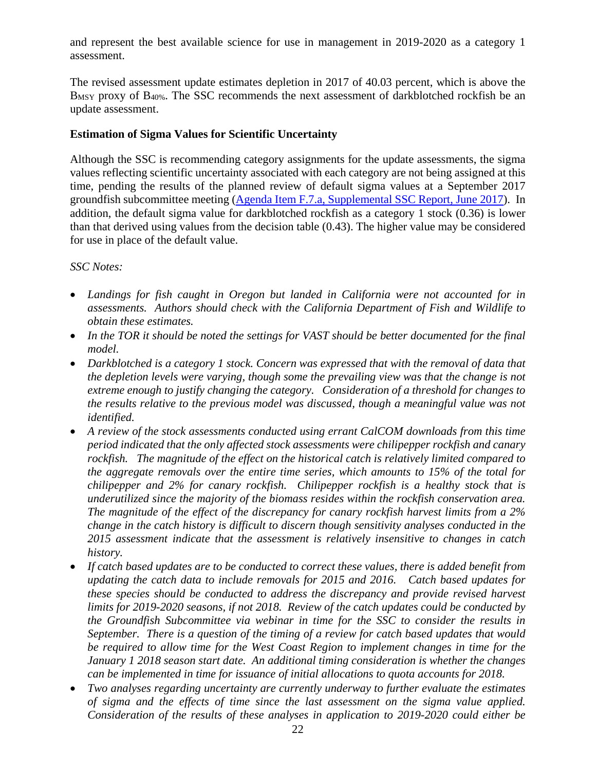and represent the best available science for use in management in 2019-2020 as a category 1 assessment.

The revised assessment update estimates depletion in 2017 of 40.03 percent, which is above the B<sub>MSY</sub> proxy of B<sub>40%</sub>. The SSC recommends the next assessment of darkblotched rockfish be an update assessment.

## **Estimation of Sigma Values for Scientific Uncertainty**

Although the SSC is recommending category assignments for the update assessments, the sigma values reflecting scientific uncertainty associated with each category are not being assigned at this time, pending the results of the planned review of default sigma values at a September 2017 groundfish subcommittee meeting [\(Agenda Item F.7.a, Supplemental SSC Report, June 2017\)](http://www.pcouncil.org/wp-content/uploads/2017/06/F7a_Sup_SSC_Rpt_Spex_Final_Jun2017BB.pdf). In addition, the default sigma value for darkblotched rockfish as a category 1 stock (0.36) is lower than that derived using values from the decision table (0.43). The higher value may be considered for use in place of the default value.

## *SSC Notes:*

- *Landings for fish caught in Oregon but landed in California were not accounted for in assessments. Authors should check with the California Department of Fish and Wildlife to obtain these estimates.*
- *In the TOR it should be noted the settings for VAST should be better documented for the final model.*
- *Darkblotched is a category 1 stock. Concern was expressed that with the removal of data that the depletion levels were varying, though some the prevailing view was that the change is not extreme enough to justify changing the category. Consideration of a threshold for changes to the results relative to the previous model was discussed, though a meaningful value was not identified.*
- *A review of the stock assessments conducted using errant CalCOM downloads from this time period indicated that the only affected stock assessments were chilipepper rockfish and canary rockfish. The magnitude of the effect on the historical catch is relatively limited compared to the aggregate removals over the entire time series, which amounts to 15% of the total for chilipepper and 2% for canary rockfish. Chilipepper rockfish is a healthy stock that is underutilized since the majority of the biomass resides within the rockfish conservation area. The magnitude of the effect of the discrepancy for canary rockfish harvest limits from a 2% change in the catch history is difficult to discern though sensitivity analyses conducted in the 2015 assessment indicate that the assessment is relatively insensitive to changes in catch history.*
- *If catch based updates are to be conducted to correct these values, there is added benefit from updating the catch data to include removals for 2015 and 2016. Catch based updates for these species should be conducted to address the discrepancy and provide revised harvest limits for 2019-2020 seasons, if not 2018. Review of the catch updates could be conducted by the Groundfish Subcommittee via webinar in time for the SSC to consider the results in September. There is a question of the timing of a review for catch based updates that would*  be required to allow time for the West Coast Region to implement changes in time for the *January 1 2018 season start date. An additional timing consideration is whether the changes can be implemented in time for issuance of initial allocations to quota accounts for 2018.*
- *Two analyses regarding uncertainty are currently underway to further evaluate the estimates of sigma and the effects of time since the last assessment on the sigma value applied. Consideration of the results of these analyses in application to 2019-2020 could either be*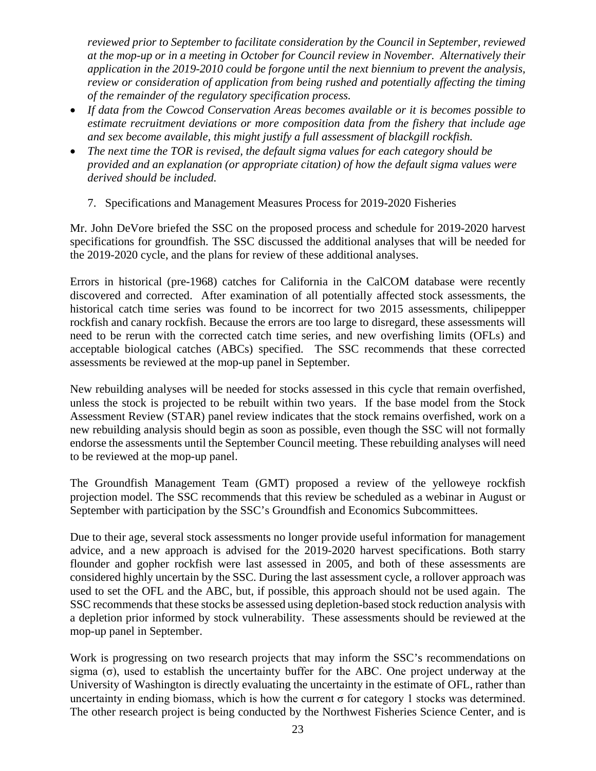*reviewed prior to September to facilitate consideration by the Council in September, reviewed at the mop-up or in a meeting in October for Council review in November. Alternatively their application in the 2019-2010 could be forgone until the next biennium to prevent the analysis, review or consideration of application from being rushed and potentially affecting the timing of the remainder of the regulatory specification process.* 

- *If data from the Cowcod Conservation Areas becomes available or it is becomes possible to estimate recruitment deviations or more composition data from the fishery that include age and sex become available, this might justify a full assessment of blackgill rockfish.*
- *The next time the TOR is revised, the default sigma values for each category should be provided and an explanation (or appropriate citation) of how the default sigma values were derived should be included.*
	- 7. Specifications and Management Measures Process for 2019-2020 Fisheries

Mr. John DeVore briefed the SSC on the proposed process and schedule for 2019-2020 harvest specifications for groundfish. The SSC discussed the additional analyses that will be needed for the 2019-2020 cycle, and the plans for review of these additional analyses.

Errors in historical (pre-1968) catches for California in the CalCOM database were recently discovered and corrected. After examination of all potentially affected stock assessments, the historical catch time series was found to be incorrect for two 2015 assessments, chilipepper rockfish and canary rockfish. Because the errors are too large to disregard, these assessments will need to be rerun with the corrected catch time series, and new overfishing limits (OFLs) and acceptable biological catches (ABCs) specified. The SSC recommends that these corrected assessments be reviewed at the mop-up panel in September.

New rebuilding analyses will be needed for stocks assessed in this cycle that remain overfished, unless the stock is projected to be rebuilt within two years. If the base model from the Stock Assessment Review (STAR) panel review indicates that the stock remains overfished, work on a new rebuilding analysis should begin as soon as possible, even though the SSC will not formally endorse the assessments until the September Council meeting. These rebuilding analyses will need to be reviewed at the mop-up panel.

The Groundfish Management Team (GMT) proposed a review of the yelloweye rockfish projection model. The SSC recommends that this review be scheduled as a webinar in August or September with participation by the SSC's Groundfish and Economics Subcommittees.

Due to their age, several stock assessments no longer provide useful information for management advice, and a new approach is advised for the 2019-2020 harvest specifications. Both starry flounder and gopher rockfish were last assessed in 2005, and both of these assessments are considered highly uncertain by the SSC. During the last assessment cycle, a rollover approach was used to set the OFL and the ABC, but, if possible, this approach should not be used again. The SSC recommends that these stocks be assessed using depletion-based stock reduction analysis with a depletion prior informed by stock vulnerability. These assessments should be reviewed at the mop-up panel in September.

Work is progressing on two research projects that may inform the SSC's recommendations on sigma  $(\sigma)$ , used to establish the uncertainty buffer for the ABC. One project underway at the University of Washington is directly evaluating the uncertainty in the estimate of OFL, rather than uncertainty in ending biomass, which is how the current  $\sigma$  for category 1 stocks was determined. The other research project is being conducted by the Northwest Fisheries Science Center, and is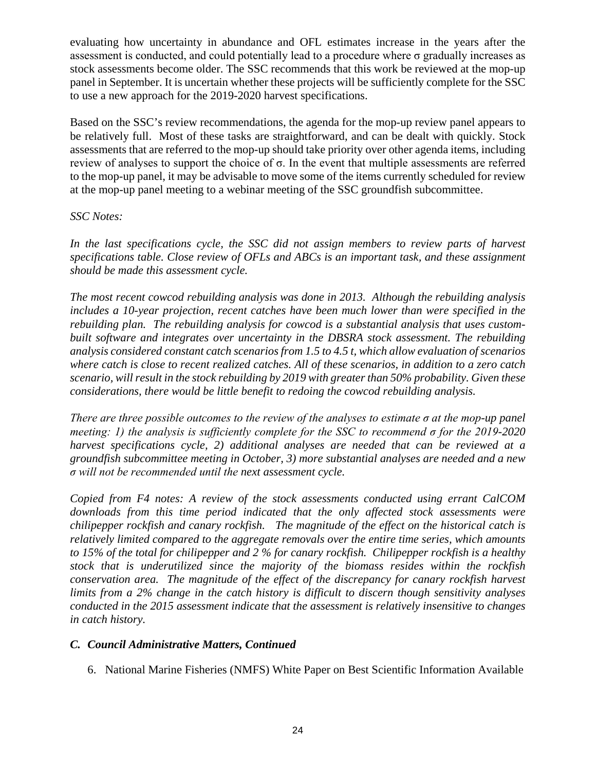evaluating how uncertainty in abundance and OFL estimates increase in the years after the assessment is conducted, and could potentially lead to a procedure where  $\sigma$  gradually increases as stock assessments become older. The SSC recommends that this work be reviewed at the mop-up panel in September. It is uncertain whether these projects will be sufficiently complete for the SSC to use a new approach for the 2019-2020 harvest specifications.

Based on the SSC's review recommendations, the agenda for the mop-up review panel appears to be relatively full. Most of these tasks are straightforward, and can be dealt with quickly. Stock assessments that are referred to the mop-up should take priority over other agenda items, including review of analyses to support the choice of σ. In the event that multiple assessments are referred to the mop-up panel, it may be advisable to move some of the items currently scheduled for review at the mop-up panel meeting to a webinar meeting of the SSC groundfish subcommittee.

## *SSC Notes:*

*In the last specifications cycle, the SSC did not assign members to review parts of harvest specifications table. Close review of OFLs and ABCs is an important task, and these assignment should be made this assessment cycle.* 

*The most recent cowcod rebuilding analysis was done in 2013. Although the rebuilding analysis includes a 10-year projection, recent catches have been much lower than were specified in the*  rebuilding plan. The rebuilding analysis for cowcod is a substantial analysis that uses custom*built software and integrates over uncertainty in the DBSRA stock assessment. The rebuilding analysis considered constant catch scenarios from 1.5 to 4.5 t, which allow evaluation of scenarios where catch is close to recent realized catches. All of these scenarios, in addition to a zero catch scenario, will result in the stock rebuilding by 2019 with greater than 50% probability. Given these considerations, there would be little benefit to redoing the cowcod rebuilding analysis.*

*There are three possible outcomes to the review of the analyses to estimate σ at the mop-up panel meeting: 1) the analysis is sufficiently complete for the SSC to recommend σ for the 2019-2020 harvest specifications cycle, 2) additional analyses are needed that can be reviewed at a groundfish subcommittee meeting in October, 3) more substantial analyses are needed and a new σ will not be recommended until the next assessment cycle.*

*Copied from F4 notes: A review of the stock assessments conducted using errant CalCOM downloads from this time period indicated that the only affected stock assessments were chilipepper rockfish and canary rockfish. The magnitude of the effect on the historical catch is relatively limited compared to the aggregate removals over the entire time series, which amounts to 15% of the total for chilipepper and 2 % for canary rockfish. Chilipepper rockfish is a healthy stock that is underutilized since the majority of the biomass resides within the rockfish conservation area. The magnitude of the effect of the discrepancy for canary rockfish harvest limits from a 2% change in the catch history is difficult to discern though sensitivity analyses conducted in the 2015 assessment indicate that the assessment is relatively insensitive to changes in catch history.*

## *C. Council Administrative Matters, Continued*

6. National Marine Fisheries (NMFS) White Paper on Best Scientific Information Available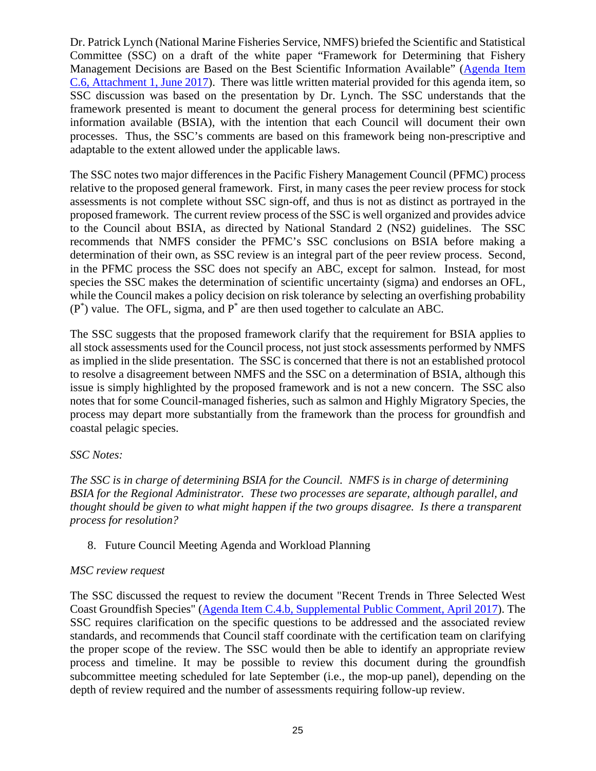Dr. Patrick Lynch (National Marine Fisheries Service, NMFS) briefed the Scientific and Statistical Committee (SSC) on a draft of the white paper "Framework for Determining that Fishery Management Decisions are Based on the Best Scientific Information Available" [\(Agenda Item](http://www.pcouncil.org/wp-content/uploads/2017/05/C6_Att1_BSIA_Jun2017BB.pdf)  [C.6, Attachment 1, June 2017\)](http://www.pcouncil.org/wp-content/uploads/2017/05/C6_Att1_BSIA_Jun2017BB.pdf). There was little written material provided for this agenda item, so SSC discussion was based on the presentation by Dr. Lynch. The SSC understands that the framework presented is meant to document the general process for determining best scientific information available (BSIA), with the intention that each Council will document their own processes. Thus, the SSC's comments are based on this framework being non-prescriptive and adaptable to the extent allowed under the applicable laws.

The SSC notes two major differences in the Pacific Fishery Management Council (PFMC) process relative to the proposed general framework. First, in many cases the peer review process for stock assessments is not complete without SSC sign-off, and thus is not as distinct as portrayed in the proposed framework. The current review process of the SSC is well organized and provides advice to the Council about BSIA, as directed by National Standard 2 (NS2) guidelines. The SSC recommends that NMFS consider the PFMC's SSC conclusions on BSIA before making a determination of their own, as SSC review is an integral part of the peer review process. Second, in the PFMC process the SSC does not specify an ABC, except for salmon. Instead, for most species the SSC makes the determination of scientific uncertainty (sigma) and endorses an OFL, while the Council makes a policy decision on risk tolerance by selecting an overfishing probability  $(P^*)$  value. The OFL, sigma, and  $P^*$  are then used together to calculate an ABC.

The SSC suggests that the proposed framework clarify that the requirement for BSIA applies to all stock assessments used for the Council process, not just stock assessments performed by NMFS as implied in the slide presentation. The SSC is concerned that there is not an established protocol to resolve a disagreement between NMFS and the SSC on a determination of BSIA, although this issue is simply highlighted by the proposed framework and is not a new concern. The SSC also notes that for some Council-managed fisheries, such as salmon and Highly Migratory Species, the process may depart more substantially from the framework than the process for groundfish and coastal pelagic species.

## *SSC Notes:*

*The SSC is in charge of determining BSIA for the Council. NMFS is in charge of determining BSIA for the Regional Administrator. These two processes are separate, although parallel, and thought should be given to what might happen if the two groups disagree. Is there a transparent process for resolution?*

8. Future Council Meeting Agenda and Workload Planning

#### *MSC review request*

The SSC discussed the request to review the document "Recent Trends in Three Selected West Coast Groundfish Species" [\(Agenda Item C.4.b, Supplemental Public Comment, April 2017\)](http://www.pcouncil.org/wp-content/uploads/2017/03/C4b_Sup_PubCmt_Apr2017BB.pdf). The SSC requires clarification on the specific questions to be addressed and the associated review standards, and recommends that Council staff coordinate with the certification team on clarifying the proper scope of the review. The SSC would then be able to identify an appropriate review process and timeline. It may be possible to review this document during the groundfish subcommittee meeting scheduled for late September (i.e., the mop-up panel), depending on the depth of review required and the number of assessments requiring follow-up review.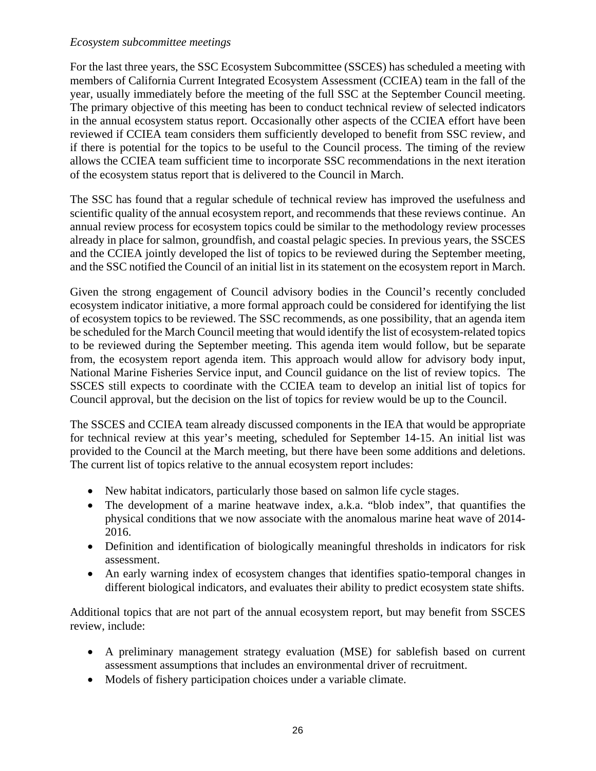### *Ecosystem subcommittee meetings*

For the last three years, the SSC Ecosystem Subcommittee (SSCES) has scheduled a meeting with members of California Current Integrated Ecosystem Assessment (CCIEA) team in the fall of the year, usually immediately before the meeting of the full SSC at the September Council meeting. The primary objective of this meeting has been to conduct technical review of selected indicators in the annual ecosystem status report. Occasionally other aspects of the CCIEA effort have been reviewed if CCIEA team considers them sufficiently developed to benefit from SSC review, and if there is potential for the topics to be useful to the Council process. The timing of the review allows the CCIEA team sufficient time to incorporate SSC recommendations in the next iteration of the ecosystem status report that is delivered to the Council in March.

The SSC has found that a regular schedule of technical review has improved the usefulness and scientific quality of the annual ecosystem report, and recommends that these reviews continue. An annual review process for ecosystem topics could be similar to the methodology review processes already in place for salmon, groundfish, and coastal pelagic species. In previous years, the SSCES and the CCIEA jointly developed the list of topics to be reviewed during the September meeting, and the SSC notified the Council of an initial list in its statement on the ecosystem report in March.

Given the strong engagement of Council advisory bodies in the Council's recently concluded ecosystem indicator initiative, a more formal approach could be considered for identifying the list of ecosystem topics to be reviewed. The SSC recommends, as one possibility, that an agenda item be scheduled for the March Council meeting that would identify the list of ecosystem-related topics to be reviewed during the September meeting. This agenda item would follow, but be separate from, the ecosystem report agenda item. This approach would allow for advisory body input, National Marine Fisheries Service input, and Council guidance on the list of review topics. The SSCES still expects to coordinate with the CCIEA team to develop an initial list of topics for Council approval, but the decision on the list of topics for review would be up to the Council.

The SSCES and CCIEA team already discussed components in the IEA that would be appropriate for technical review at this year's meeting, scheduled for September 14-15. An initial list was provided to the Council at the March meeting, but there have been some additions and deletions. The current list of topics relative to the annual ecosystem report includes:

- New habitat indicators, particularly those based on salmon life cycle stages.
- The development of a marine heatwave index, a.k.a. "blob index", that quantifies the physical conditions that we now associate with the anomalous marine heat wave of 2014- 2016.
- Definition and identification of biologically meaningful thresholds in indicators for risk assessment.
- An early warning index of ecosystem changes that identifies spatio-temporal changes in different biological indicators, and evaluates their ability to predict ecosystem state shifts.

Additional topics that are not part of the annual ecosystem report, but may benefit from SSCES review, include:

- A preliminary management strategy evaluation (MSE) for sablefish based on current assessment assumptions that includes an environmental driver of recruitment.
- Models of fishery participation choices under a variable climate.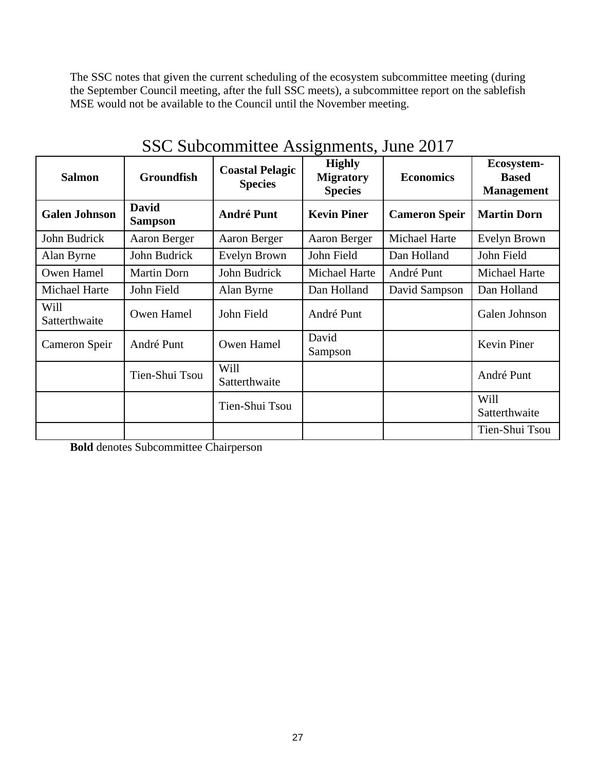The SSC notes that given the current scheduling of the ecosystem subcommittee meeting (during the September Council meeting, after the full SSC meets), a subcommittee report on the sablefish MSE would not be available to the Council until the November meeting.

| <b>Salmon</b>         | <b>Groundfish</b>              | <b>Coastal Pelagic</b><br><b>Species</b> | $\sim$ $\sim$ $\sim$ $\sim$<br><b>Highly</b><br><b>Migratory</b><br><b>Species</b> | <b>Economics</b>     | Ecosystem-<br><b>Based</b><br><b>Management</b> |
|-----------------------|--------------------------------|------------------------------------------|------------------------------------------------------------------------------------|----------------------|-------------------------------------------------|
| <b>Galen Johnson</b>  | <b>David</b><br><b>Sampson</b> | <b>André Punt</b>                        | <b>Kevin Piner</b>                                                                 | <b>Cameron Speir</b> | <b>Martin Dorn</b>                              |
| John Budrick          | Aaron Berger                   | Aaron Berger                             | Aaron Berger                                                                       | Michael Harte        | Evelyn Brown                                    |
| Alan Byrne            | John Budrick                   | Evelyn Brown                             | John Field                                                                         | Dan Holland          | John Field                                      |
| Owen Hamel            | <b>Martin Dorn</b>             | John Budrick                             | Michael Harte                                                                      | André Punt           | Michael Harte                                   |
| Michael Harte         | John Field                     | Alan Byrne                               | Dan Holland                                                                        | David Sampson        | Dan Holland                                     |
| Will<br>Satterthwaite | Owen Hamel                     | John Field                               | André Punt                                                                         |                      | Galen Johnson                                   |
| Cameron Speir         | André Punt                     |                                          | David<br>Sampson                                                                   |                      | Kevin Piner                                     |
|                       | Tien-Shui Tsou                 | Will<br>Satterthwaite                    |                                                                                    |                      | André Punt                                      |
|                       |                                | Tien-Shui Tsou                           |                                                                                    |                      | Will<br>Satterthwaite                           |
|                       |                                |                                          |                                                                                    |                      | Tien-Shui Tsou                                  |

SSC Subcommittee Assignments, June 2017

**Bold** denotes Subcommittee Chairperson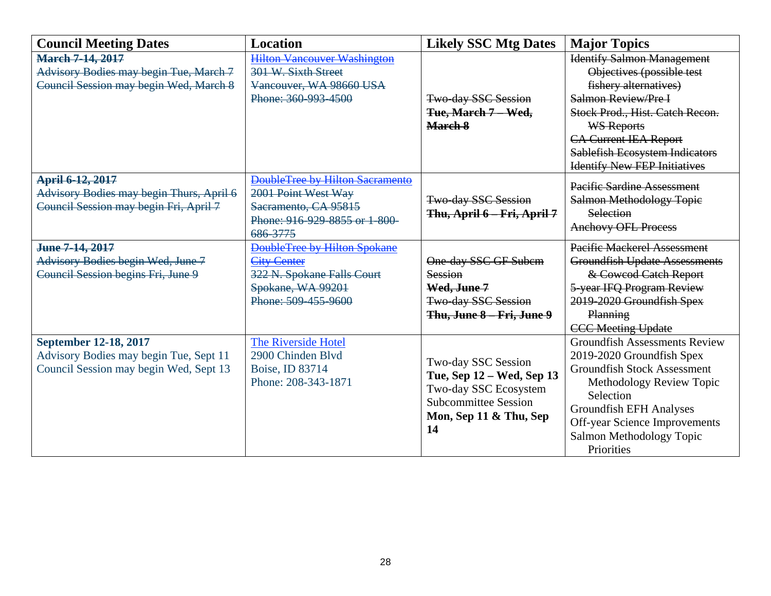| <b>Council Meeting Dates</b>             | <b>Location</b>                     | <b>Likely SSC Mtg Dates</b> | <b>Major Topics</b>                   |  |
|------------------------------------------|-------------------------------------|-----------------------------|---------------------------------------|--|
| <b>March 7-14, 2017</b>                  | <b>Hilton Vancouver Washington</b>  |                             | <b>Identify Salmon Management</b>     |  |
| Advisory Bodies may begin Tue, March 7   | 301 W. Sixth Street                 |                             | Objectives (possible test             |  |
| Council Session may begin Wed, March 8   | Vancouver, WA 98660 USA             |                             | fishery alternatives)                 |  |
|                                          | Phone: 360-993-4500                 | Two day SSC Session         | Salmon Review/Pre I                   |  |
|                                          |                                     | Tue, March 7 - Wed,         | Stock Prod., Hist. Catch Recon.       |  |
|                                          |                                     | March 8                     | <b>WS Reports</b>                     |  |
|                                          |                                     |                             | <b>CA Current IEA Report</b>          |  |
|                                          |                                     |                             | <b>Sablefish Ecosystem Indicators</b> |  |
|                                          |                                     |                             | <b>Identify New FEP Initiatives</b>   |  |
| April 6-12, 2017                         | DoubleTree by Hilton Sacramento     |                             | Pacific Sardine Assessment            |  |
| Advisory Bodies may begin Thurs, April 6 | 2001 Point West Way                 | <b>Two-day SSC Session</b>  | <b>Salmon Methodology Topic</b>       |  |
| Council Session may begin Fri, April 7   | Sacramento, CA 95815                | Thu, April 6 - Fri, April 7 | Selection                             |  |
|                                          | Phone: 916-929-8855 or 1-800-       |                             | <b>Anchovy OFL Process</b>            |  |
|                                          | 686-3775                            |                             |                                       |  |
| June 7-14, 2017                          | <b>DoubleTree by Hilton Spokane</b> |                             | <b>Pacific Mackerel Assessment</b>    |  |
| Advisory Bodies begin Wed, June 7        | <b>City Center</b>                  | One-day SSC GF Subem        | <b>Groundfish Update Assessments</b>  |  |
| Council Session begins Fri, June 9       | 322 N. Spokane Falls Court          | Session                     | & Cowcod Catch Report                 |  |
|                                          | Spokane, WA 99201                   | Wed, June 7                 | 5-year IFQ Program Review             |  |
|                                          | Phone: 509-455-9600                 | <b>Two-day SSC Session</b>  | 2019-2020 Groundfish Spex             |  |
|                                          |                                     | Thu, June 8 Fri, June 9     | <b>Planning</b>                       |  |
|                                          |                                     |                             | <b>CCC Meeting Update</b>             |  |
| September 12-18, 2017                    | <b>The Riverside Hotel</b>          |                             | <b>Groundfish Assessments Review</b>  |  |
| Advisory Bodies may begin Tue, Sept 11   | 2900 Chinden Blvd                   | Two-day SSC Session         | 2019-2020 Groundfish Spex             |  |
| Council Session may begin Wed, Sept 13   | Boise, ID 83714                     | Tue, Sep 12 - Wed, Sep 13   | <b>Groundfish Stock Assessment</b>    |  |
|                                          | Phone: 208-343-1871                 | Two-day SSC Ecosystem       | Methodology Review Topic              |  |
|                                          |                                     | <b>Subcommittee Session</b> | Selection                             |  |
|                                          |                                     | Mon, Sep 11 & Thu, Sep      | <b>Groundfish EFH Analyses</b>        |  |
|                                          |                                     | 14                          | <b>Off-year Science Improvements</b>  |  |
|                                          |                                     |                             | Salmon Methodology Topic              |  |
|                                          |                                     |                             | Priorities                            |  |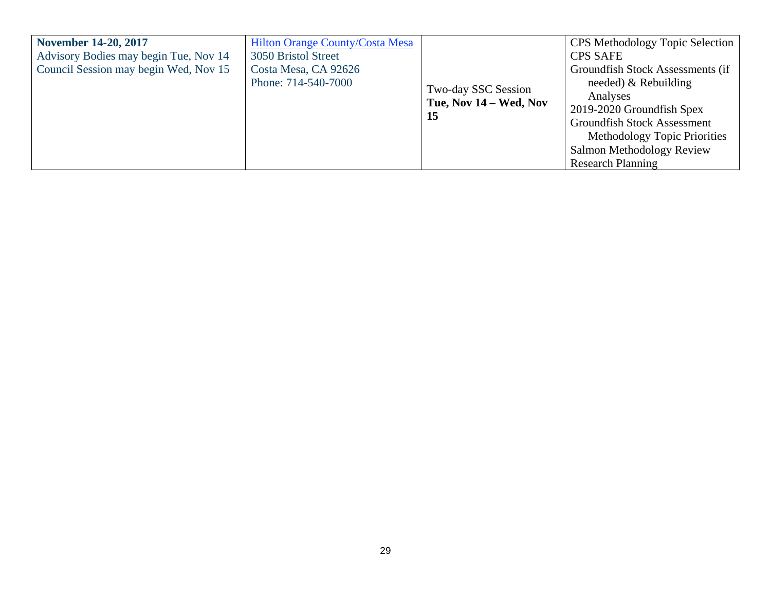| Advisory Bodies may begin Tue, Nov 14<br>3050 Bristol Street<br><b>CPS SAFE</b><br>Council Session may begin Wed, Nov 15<br>Costa Mesa, CA 92626<br>Phone: 714-540-7000<br>needed) $&$ Rebuilding<br>Two-day SSC Session<br>Analyses | November 14-20, 2017 | <b>Hilton Orange County/Costa Mesa</b> |                           | <b>CPS</b> Methodology Topic Selection                           |
|--------------------------------------------------------------------------------------------------------------------------------------------------------------------------------------------------------------------------------------|----------------------|----------------------------------------|---------------------------|------------------------------------------------------------------|
| 2019-2020 Groundfish Spex<br>15<br><b>Groundfish Stock Assessment</b><br>Salmon Methodology Review<br><b>Research Planning</b>                                                                                                       |                      |                                        | Tue, Nov $14 - Wed$ , Nov | Groundfish Stock Assessments (if<br>Methodology Topic Priorities |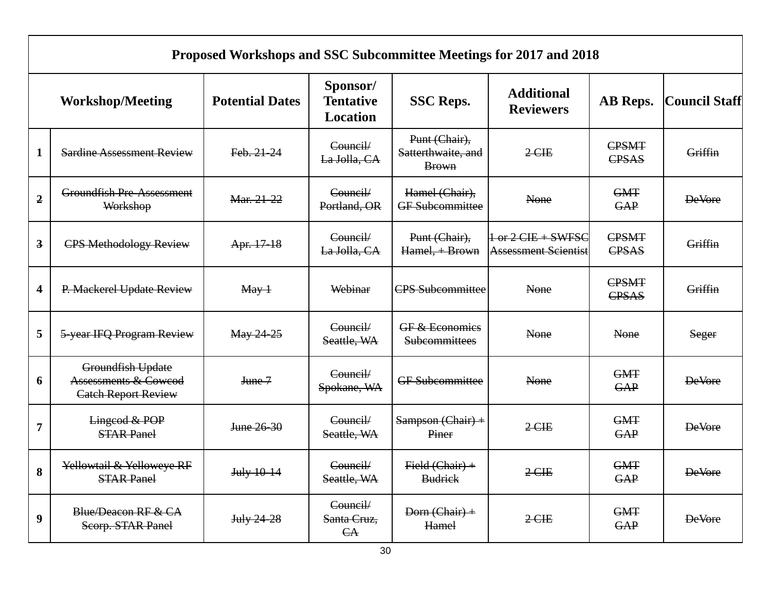| Proposed Workshops and SSC Subcommittee Meetings for 2017 and 2018 |                                                                                    |                        |                                          |                                                     |                                            |                              |                      |
|--------------------------------------------------------------------|------------------------------------------------------------------------------------|------------------------|------------------------------------------|-----------------------------------------------------|--------------------------------------------|------------------------------|----------------------|
|                                                                    | <b>Workshop/Meeting</b>                                                            | <b>Potential Dates</b> | Sponsor/<br><b>Tentative</b><br>Location | <b>SSC Reps.</b>                                    | <b>Additional</b><br><b>Reviewers</b>      | AB Reps.                     | <b>Council Staff</b> |
| $\mathbf{1}$                                                       | <b>Sardine Assessment Review</b>                                                   | Feb. 21-24             | Council/<br>La Jolla, CA                 | Punt (Chair),<br>Satterthwaite, and<br><b>Brown</b> | $2$ CIE                                    | CPSMT<br>CPSAS               | Griffin              |
| $\overline{2}$                                                     | <b>Groundfish Pre-Assessment</b><br>Workshop                                       | Mar. 21-22             | Council/<br>Portland, OR                 | Hamel (Chair),<br><b>GF</b> Subcommittee            | None                                       | <b>GMT</b><br>GAP            | <b>DeVore</b>        |
| $\overline{\mathbf{3}}$                                            | <b>CPS Methodology Review</b>                                                      | Apr. 17-18             | Council/<br>La Jolla, CA                 | Punt (Chair),<br>Hamel, + Brown                     | $1 - or 2 CIE + SWFSCAssessment Scientist$ | <b>CPSMT</b><br><b>CPSAS</b> | Griffin              |
| $\overline{\mathbf{4}}$                                            | P. Mackerel Update Review                                                          | $\text{May}+$          | Webinar                                  | <b>CPS</b> Subcommittee                             | None                                       | CPSMT<br>CPSAS               | Griffin              |
| 5                                                                  | 5-year IFQ Program Review                                                          | May 24-25              | Council/<br>Seattle, WA                  | GF & Economics<br>Subcommittees                     | None                                       | None                         | Seger                |
| 6                                                                  | Groundfish Update<br><b>Assessments &amp; Cowcod</b><br><b>Catch Report Review</b> | June 7                 | Council/<br>Spokane, WA                  | <b>GF</b> Subcommittee                              | None                                       | <b>GMT</b><br>GAP            | <b>DeVore</b>        |
| $\overline{7}$                                                     | Lingcod & POP<br><b>STAR Panel</b>                                                 | June 26-30             | Council/<br>Seattle, WA                  | $Sampson (Chair) +$<br>Piner                        | $2$ CIE                                    | <b>GMT</b><br><b>GAP</b>     | <b>DeVore</b>        |
| 8                                                                  | Yellowtail & Yelloweye RF<br><b>STAR Panel</b>                                     | July 10-14             | Council/<br>Seattle, WA                  | Field (Chair) +<br><b>Budrick</b>                   | $2$ CIE                                    | <b>GMT</b><br><b>GAP</b>     | <b>DeVore</b>        |
| 9                                                                  | Blue/Deacon RF & CA<br>Scorp. STAR Panel                                           | July 24-28             | Council/<br>Santa Cruz,<br>A             | Dorn (Chair) +<br>Hamel                             | $2$ CIE                                    | <b>GMT</b><br>GAP            | <b>DeVore</b>        |